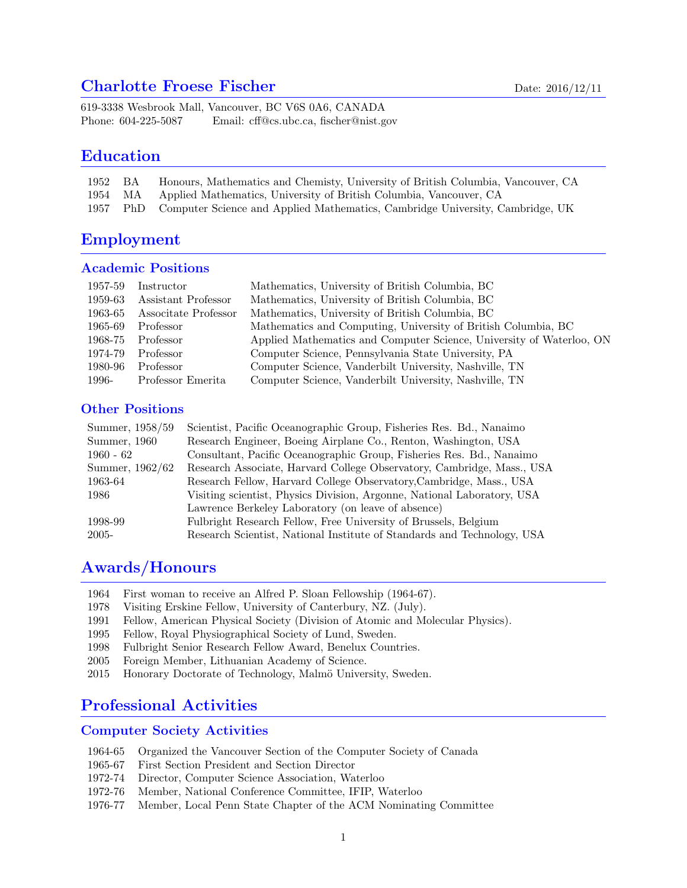### Charlotte Froese Fischer Date: 2016/12/11

619-3338 Wesbrook Mall, Vancouver, BC V6S 0A6, CANADA Phone: 604-225-5087 Email: cff@cs.ubc.ca, fischer@nist.gov

### Education

| 1952 BA | Honours, Mathematics and Chemisty, University of British Columbia, Vancouver, CA  |
|---------|-----------------------------------------------------------------------------------|
|         | 1954 MA Applied Mathematics, University of British Columbia, Vancouver, CA        |
| 1957    | PhD Computer Science and Applied Mathematics, Cambridge University, Cambridge, UK |

# Employment

#### Academic Positions

| 1957-59 | Instructor           | Mathematics, University of British Columbia, BC                      |
|---------|----------------------|----------------------------------------------------------------------|
| 1959-63 | Assistant Professor  | Mathematics, University of British Columbia, BC                      |
| 1963-65 | Associtate Professor | Mathematics, University of British Columbia, BC                      |
| 1965-69 | Professor            | Mathematics and Computing, University of British Columbia, BC        |
| 1968-75 | Professor            | Applied Mathematics and Computer Science, University of Waterloo, ON |
| 1974-79 | Professor            | Computer Science, Pennsylvania State University, PA                  |
| 1980-96 | Professor            | Computer Science, Vanderbilt University, Nashville, TN               |
| 1996-   | Professor Emerita    | Computer Science, Vanderbilt University, Nashville, TN               |

### Other Positions

| Summer, 1958/59 | Scientist, Pacific Oceanographic Group, Fisheries Res. Bd., Nanaimo     |
|-----------------|-------------------------------------------------------------------------|
| Summer, 1960    | Research Engineer, Boeing Airplane Co., Renton, Washington, USA         |
| $1960 - 62$     | Consultant, Pacific Oceanographic Group, Fisheries Res. Bd., Nanaimo    |
| Summer, 1962/62 | Research Associate, Harvard College Observatory, Cambridge, Mass., USA  |
| 1963-64         | Research Fellow, Harvard College Observatory, Cambridge, Mass., USA     |
| 1986            | Visiting scientist, Physics Division, Argonne, National Laboratory, USA |
|                 | Lawrence Berkeley Laboratory (on leave of absence)                      |
| 1998-99         | Fulbright Research Fellow, Free University of Brussels, Belgium         |
| 2005-           | Research Scientist, National Institute of Standards and Technology, USA |

## Awards/Honours

- 1964 First woman to receive an Alfred P. Sloan Fellowship (1964-67).
- 1978 Visiting Erskine Fellow, University of Canterbury, NZ. (July).
- 1991 Fellow, American Physical Society (Division of Atomic and Molecular Physics).
- 1995 Fellow, Royal Physiographical Society of Lund, Sweden.
- 1998 Fulbright Senior Research Fellow Award, Benelux Countries.
- 2005 Foreign Member, Lithuanian Academy of Science.
- 2015 Honorary Doctorate of Technology, Malmö University, Sweden.

# Professional Activities

#### Computer Society Activities

- 1964-65 Organized the Vancouver Section of the Computer Society of Canada
- 1965-67 First Section President and Section Director
- 1972-74 Director, Computer Science Association, Waterloo
- 1972-76 Member, National Conference Committee, IFIP, Waterloo
- 1976-77 Member, Local Penn State Chapter of the ACM Nominating Committee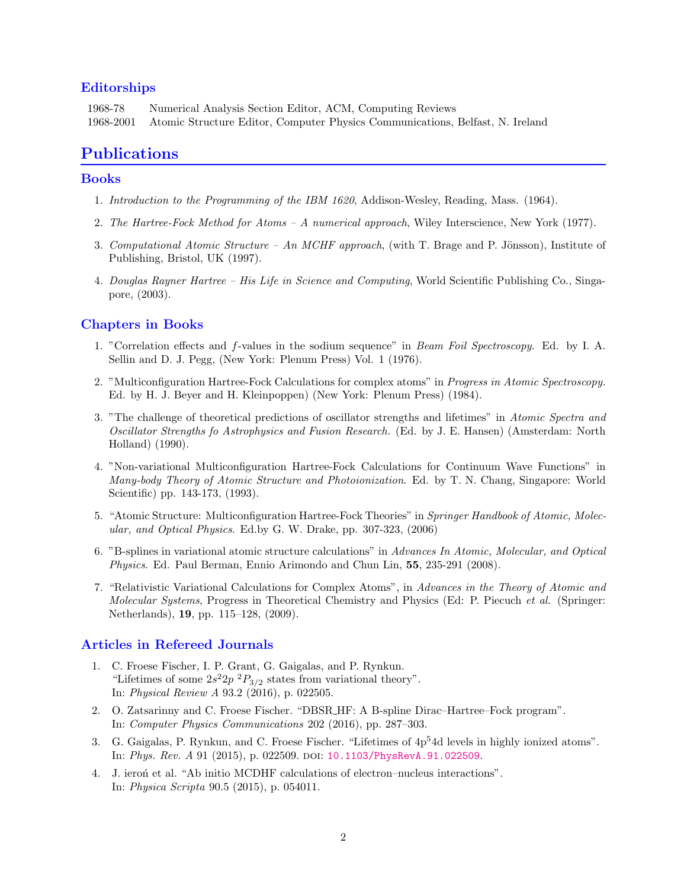### Editorships

1968-78 Numerical Analysis Section Editor, ACM, Computing Reviews 1968-2001 Atomic Structure Editor, Computer Physics Communications, Belfast, N. Ireland

## Publications

### Books

- 1. Introduction to the Programming of the IBM 1620, Addison-Wesley, Reading, Mass. (1964).
- 2. The Hartree-Fock Method for Atoms A numerical approach, Wiley Interscience, New York (1977).
- 3. Computational Atomic Structure An MCHF approach, (with T. Brage and P. Jönsson), Institute of Publishing, Bristol, UK (1997).
- 4. Douglas Rayner Hartree His Life in Science and Computing, World Scientific Publishing Co., Singapore, (2003).

### Chapters in Books

- 1. "Correlation effects and f-values in the sodium sequence" in Beam Foil Spectroscopy. Ed. by I. A. Sellin and D. J. Pegg, (New York: Plenum Press) Vol. 1 (1976).
- 2. "Multiconfiguration Hartree-Fock Calculations for complex atoms" in Progress in Atomic Spectroscopy. Ed. by H. J. Beyer and H. Kleinpoppen) (New York: Plenum Press) (1984).
- 3. "The challenge of theoretical predictions of oscillator strengths and lifetimes" in Atomic Spectra and Oscillator Strengths fo Astrophysics and Fusion Research. (Ed. by J. E. Hansen) (Amsterdam: North Holland) (1990).
- 4. "Non-variational Multiconfiguration Hartree-Fock Calculations for Continuum Wave Functions" in Many-body Theory of Atomic Structure and Photoionization. Ed. by T. N. Chang, Singapore: World Scientific) pp. 143-173, (1993).
- 5. "Atomic Structure: Multiconfiguration Hartree-Fock Theories" in Springer Handbook of Atomic, Molecular, and Optical Physics. Ed.by G. W. Drake, pp. 307-323, (2006)
- 6. "B-splines in variational atomic structure calculations" in Advances In Atomic, Molecular, and Optical Physics. Ed. Paul Berman, Ennio Arimondo and Chun Lin, 55, 235-291 (2008).
- 7. "Relativistic Variational Calculations for Complex Atoms", in Advances in the Theory of Atomic and Molecular Systems, Progress in Theoretical Chemistry and Physics (Ed: P. Piecuch et al. (Springer: Netherlands), 19, pp. 115–128, (2009).

#### Articles in Refereed Journals

- 1. C. Froese Fischer, I. P. Grant, G. Gaigalas, and P. Rynkun. "Lifetimes of some  $2s^22p^2P_{3/2}$  states from variational theory". In: Physical Review A 93.2 (2016), p. 022505.
- 2. O. Zatsarinny and C. Froese Fischer. "DBSR HF: A B-spline Dirac–Hartree–Fock program". In: Computer Physics Communications 202 (2016), pp. 287–303.
- 3. G. Gaigalas, P. Rynkun, and C. Froese Fischer. "Lifetimes of 4p<sup>5</sup>4d levels in highly ionized atoms". In: Phys. Rev. A 91 (2015), p. 022509. doi: [10.1103/PhysRevA.91.022509](http://dx.doi.org/10.1103/PhysRevA.91.022509).
- 4. J. ieron et al. "Ab initio MCDHF calculations of electron–nucleus interactions". In: Physica Scripta 90.5 (2015), p. 054011.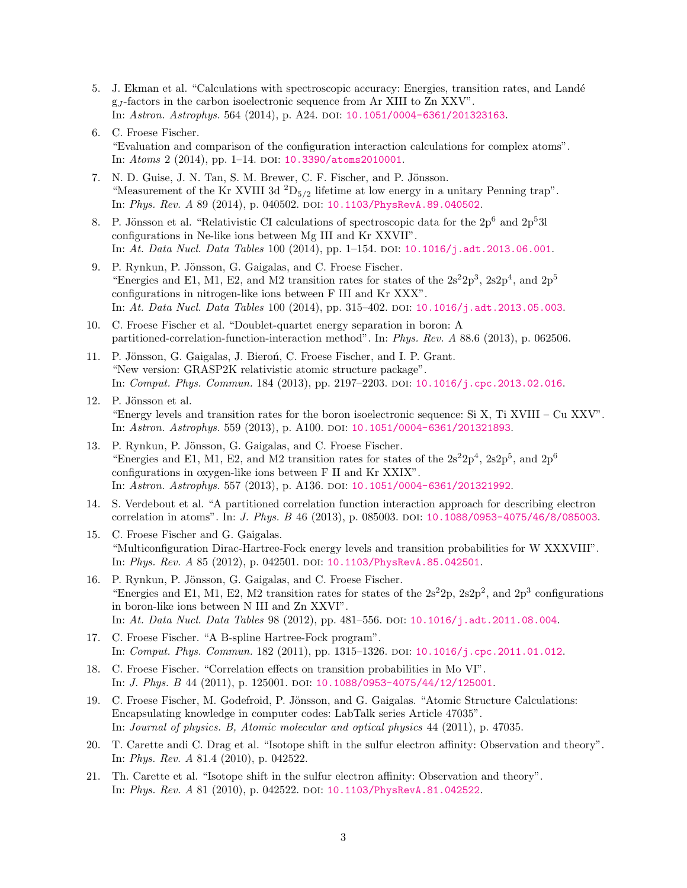- 5. J. Ekman et al. "Calculations with spectroscopic accuracy: Energies, transition rates, and Land´e g<sup>J</sup> -factors in the carbon isoelectronic sequence from Ar XIII to Zn XXV". In: Astron. Astrophys. 564 (2014), p. A24. doi: [10.1051/0004-6361/201323163](http://dx.doi.org/10.1051/0004-6361/201323163).
- 6. C. Froese Fischer. "Evaluation and comparison of the configuration interaction calculations for complex atoms". In: Atoms 2 (2014), pp. 1-14. DOI: [10.3390/atoms2010001](http://dx.doi.org/10.3390/atoms2010001).
- 7. N. D. Guise, J. N. Tan, S. M. Brewer, C. F. Fischer, and P. Jönsson. "Measurement of the Kr XVIII 3d  ${}^{2}D_{5/2}$  lifetime at low energy in a unitary Penning trap". In: Phys. Rev. A 89 (2014), p. 040502. DOI: [10.1103/PhysRevA.89.040502](http://dx.doi.org/10.1103/PhysRevA.89.040502).
- 8. P. Jönsson et al. "Relativistic CI calculations of spectroscopic data for the  $2p^6$  and  $2p^53l$ configurations in Ne-like ions between Mg III and Kr XXVII". In: At. Data Nucl. Data Tables 100 (2014), pp. 1–154. doi: [10.1016/j.adt.2013.06.001](http://dx.doi.org/10.1016/j.adt.2013.06.001).
- 9. P. Rynkun, P. Jönsson, G. Gaigalas, and C. Froese Fischer. "Energies and E1, M1, E2, and M2 transition rates for states of the  $2s^22p^3$ ,  $2s2p^4$ , and  $2p^5$ configurations in nitrogen-like ions between F III and Kr XXX". In: At. Data Nucl. Data Tables 100 (2014), pp. 315-402. DOI: [10.1016/j.adt.2013.05.003](http://dx.doi.org/10.1016/j.adt.2013.05.003).
- 10. C. Froese Fischer et al. "Doublet-quartet energy separation in boron: A partitioned-correlation-function-interaction method". In: Phys. Rev. A 88.6 (2013), p. 062506.
- 11. P. Jönsson, G. Gaigalas, J. Bieroń, C. Froese Fischer, and I. P. Grant. "New version: GRASP2K relativistic atomic structure package". In: Comput. Phys. Commun. 184 (2013), pp. 2197–2203. doi: [10.1016/j.cpc.2013.02.016](http://dx.doi.org/10.1016/j.cpc.2013.02.016).
- 12. P. Jönsson et al. "Energy levels and transition rates for the boron isoelectronic sequence: Si X, Ti XVIII – Cu XXV". In: Astron. Astrophys. 559 (2013), p. A100. DOI: [10.1051/0004-6361/201321893](http://dx.doi.org/10.1051/0004-6361/201321893).
- 13. P. Rynkun, P. Jönsson, G. Gaigalas, and C. Froese Fischer. "Energies and E1, M1, E2, and M2 transition rates for states of the  $2s^22p^4$ ,  $2s2p^5$ , and  $2p^6$ configurations in oxygen-like ions between F II and Kr XXIX". In: Astron. Astrophys. 557 (2013), p. A136. doi: [10.1051/0004-6361/201321992](http://dx.doi.org/10.1051/0004-6361/201321992).
- 14. S. Verdebout et al. "A partitioned correlation function interaction approach for describing electron correlation in atoms". In: *J. Phys. B* 46 (2013), p. 085003. DOI: [10.1088/0953-4075/46/8/085003](http://dx.doi.org/10.1088/0953-4075/46/8/085003).
- 15. C. Froese Fischer and G. Gaigalas. "Multiconfiguration Dirac-Hartree-Fock energy levels and transition probabilities for W XXXVIII". In: Phys. Rev. A 85 (2012), p. 042501. DOI: [10.1103/PhysRevA.85.042501](http://dx.doi.org/10.1103/PhysRevA.85.042501).
- 16. P. Rynkun, P. Jönsson, G. Gaigalas, and C. Froese Fischer. "Energies and E1, M1, E2, M2 transition rates for states of the  $2s^22p$ ,  $2s2p^2$ , and  $2p^3$  configurations in boron-like ions between N III and Zn XXVI". In: At. Data Nucl. Data Tables 98 (2012), pp. 481–556. doi: [10.1016/j.adt.2011.08.004](http://dx.doi.org/10.1016/j.adt.2011.08.004).
- 17. C. Froese Fischer. "A B-spline Hartree-Fock program". In: Comput. Phys. Commun. 182 (2011), pp. 1315–1326. doi: [10.1016/j.cpc.2011.01.012](http://dx.doi.org/10.1016/j.cpc.2011.01.012).
- 18. C. Froese Fischer. "Correlation effects on transition probabilities in Mo VI". In: *J. Phys. B* 44 (2011), p. 125001. DOI: [10.1088/0953-4075/44/12/125001](http://dx.doi.org/10.1088/0953-4075/44/12/125001).
- 19. C. Froese Fischer, M. Godefroid, P. Jönsson, and G. Gaigalas. "Atomic Structure Calculations: Encapsulating knowledge in computer codes: LabTalk series Article 47035". In: Journal of physics. B, Atomic molecular and optical physics 44 (2011), p. 47035.
- 20. T. Carette andi C. Drag et al. "Isotope shift in the sulfur electron affinity: Observation and theory". In: Phys. Rev. A 81.4 (2010), p. 042522.
- 21. Th. Carette et al. "Isotope shift in the sulfur electron affinity: Observation and theory". In: Phys. Rev. A 81 (2010), p. 042522. doi: [10.1103/PhysRevA.81.042522](http://dx.doi.org/10.1103/PhysRevA.81.042522).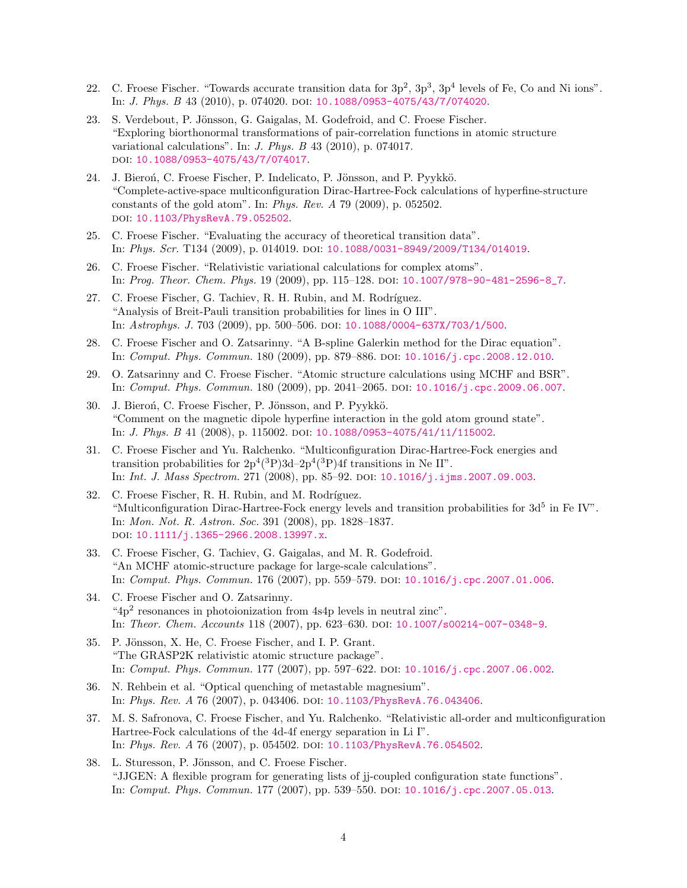- 22. C. Froese Fischer. "Towards accurate transition data for  $3p^2$ ,  $3p^3$ ,  $3p^4$  levels of Fe, Co and Ni ions". In: *J. Phys. B* 43 (2010), p. 074020. DOI: [10.1088/0953-4075/43/7/074020](http://dx.doi.org/10.1088/0953-4075/43/7/074020).
- 23. S. Verdebout, P. Jönsson, G. Gaigalas, M. Godefroid, and C. Froese Fischer. "Exploring biorthonormal transformations of pair-correlation functions in atomic structure variational calculations". In: J. Phys. B 43 (2010), p. 074017. doi: [10.1088/0953-4075/43/7/074017](http://dx.doi.org/10.1088/0953-4075/43/7/074017).
- 24. J. Bieroń, C. Froese Fischer, P. Indelicato, P. Jönsson, and P. Pyykkö. "Complete-active-space multiconfiguration Dirac-Hartree-Fock calculations of hyperfine-structure constants of the gold atom". In: Phys. Rev. A 79 (2009), p. 052502. doi: [10.1103/PhysRevA.79.052502](http://dx.doi.org/10.1103/PhysRevA.79.052502).
- 25. C. Froese Fischer. "Evaluating the accuracy of theoretical transition data". In: Phys. Scr. T134 (2009), p. 014019. doi: [10.1088/0031-8949/2009/T134/014019](http://dx.doi.org/10.1088/0031-8949/2009/T134/014019).
- 26. C. Froese Fischer. "Relativistic variational calculations for complex atoms". In: Prog. Theor. Chem. Phys. 19 (2009), pp. 115–128. doi: [10.1007/978-90-481-2596-8\\_7](http://dx.doi.org/10.1007/978-90-481-2596-8_7).
- 27. C. Froese Fischer, G. Tachiev, R. H. Rubin, and M. Rodríguez. "Analysis of Breit-Pauli transition probabilities for lines in O III". In: Astrophys. J. 703 (2009), pp. 500-506. DOI: [10.1088/0004-637X/703/1/500](http://dx.doi.org/10.1088/0004-637X/703/1/500).
- 28. C. Froese Fischer and O. Zatsarinny. "A B-spline Galerkin method for the Dirac equation". In: Comput. Phys. Commun. 180 (2009), pp. 879–886. doi: [10.1016/j.cpc.2008.12.010](http://dx.doi.org/10.1016/j.cpc.2008.12.010).
- 29. O. Zatsarinny and C. Froese Fischer. "Atomic structure calculations using MCHF and BSR". In: Comput. Phys. Commun. 180 (2009), pp. 2041–2065. doi: [10.1016/j.cpc.2009.06.007](http://dx.doi.org/10.1016/j.cpc.2009.06.007).
- 30. J. Bieroń, C. Froese Fischer, P. Jönsson, and P. Pyykkö. "Comment on the magnetic dipole hyperfine interaction in the gold atom ground state". In: *J. Phys. B* 41 (2008), p. 115002. DOI: [10.1088/0953-4075/41/11/115002](http://dx.doi.org/10.1088/0953-4075/41/11/115002).
- 31. C. Froese Fischer and Yu. Ralchenko. "Multiconfiguration Dirac-Hartree-Fock energies and transition probabilities for  $2p^4(^3P)3d-2p^4(^3P)4f$  transitions in Ne II". In: Int. J. Mass Spectrom. 271 (2008), pp. 85–92. doi: [10.1016/j.ijms.2007.09.003](http://dx.doi.org/10.1016/j.ijms.2007.09.003).
- 32. C. Froese Fischer, R. H. Rubin, and M. Rodríguez. "Multiconfiguration Dirac-Hartree-Fock energy levels and transition probabilities for  $3d^5$  in Fe IV". In: Mon. Not. R. Astron. Soc. 391 (2008), pp. 1828–1837. doi: [10.1111/j.1365-2966.2008.13997.x](http://dx.doi.org/10.1111/j.1365-2966.2008.13997.x).
- 33. C. Froese Fischer, G. Tachiev, G. Gaigalas, and M. R. Godefroid. "An MCHF atomic-structure package for large-scale calculations". In: Comput. Phys. Commun. 176 (2007), pp. 559-579. DOI: [10.1016/j.cpc.2007.01.006](http://dx.doi.org/10.1016/j.cpc.2007.01.006).
- 34. C. Froese Fischer and O. Zatsarinny. "4p<sup>2</sup> resonances in photoionization from 4s4p levels in neutral zinc". In: Theor. Chem. Accounts 118 (2007), pp. 623–630. doi: [10.1007/s00214-007-0348-9](http://dx.doi.org/10.1007/s00214-007-0348-9).
- 35. P. Jönsson, X. He, C. Froese Fischer, and I. P. Grant. "The GRASP2K relativistic atomic structure package". In: Comput. Phys. Commun. 177 (2007), pp. 597–622. doi: [10.1016/j.cpc.2007.06.002](http://dx.doi.org/10.1016/j.cpc.2007.06.002).
- 36. N. Rehbein et al. "Optical quenching of metastable magnesium". In: Phys. Rev. A 76 (2007), p. 043406. doi: [10.1103/PhysRevA.76.043406](http://dx.doi.org/10.1103/PhysRevA.76.043406).
- 37. M. S. Safronova, C. Froese Fischer, and Yu. Ralchenko. "Relativistic all-order and multiconfiguration Hartree-Fock calculations of the 4d-4f energy separation in Li I". In: Phys. Rev. A 76 (2007), p. 054502. DOI: [10.1103/PhysRevA.76.054502](http://dx.doi.org/10.1103/PhysRevA.76.054502).
- 38. L. Sturesson, P. Jönsson, and C. Froese Fischer. "JJGEN: A flexible program for generating lists of jj-coupled configuration state functions". In: Comput. Phys. Commun. 177 (2007), pp. 539-550. DOI: [10.1016/j.cpc.2007.05.013](http://dx.doi.org/10.1016/j.cpc.2007.05.013).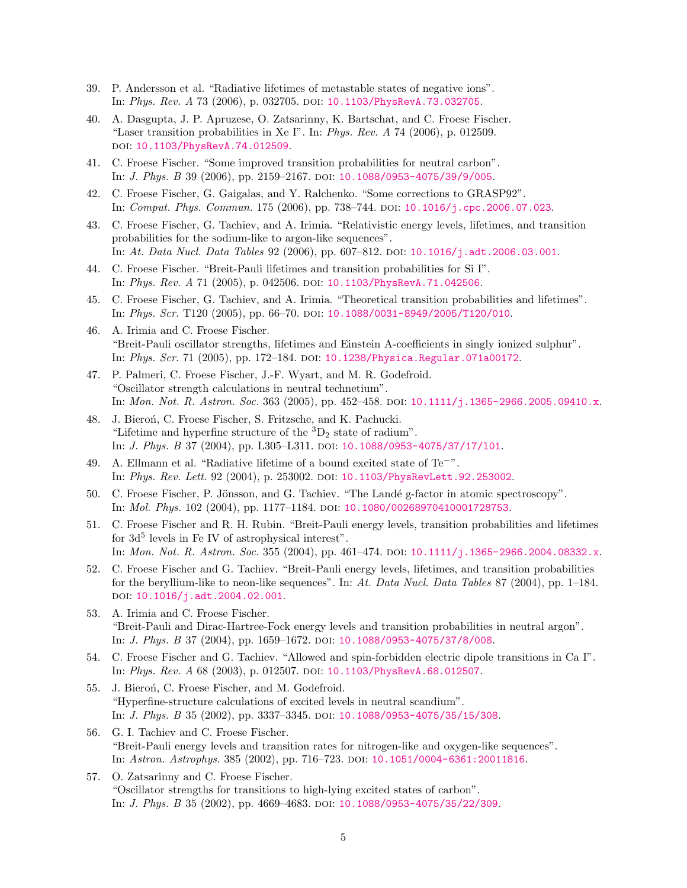- 39. P. Andersson et al. "Radiative lifetimes of metastable states of negative ions". In: Phys. Rev. A 73 (2006), p. 032705. DOI: [10.1103/PhysRevA.73.032705](http://dx.doi.org/10.1103/PhysRevA.73.032705).
- 40. A. Dasgupta, J. P. Apruzese, O. Zatsarinny, K. Bartschat, and C. Froese Fischer. "Laser transition probabilities in Xe I". In: Phys. Rev.  $A$  74 (2006), p. 012509. doi: [10.1103/PhysRevA.74.012509](http://dx.doi.org/10.1103/PhysRevA.74.012509).
- 41. C. Froese Fischer. "Some improved transition probabilities for neutral carbon". In: *J. Phys. B* 39 (2006), pp. 2159-2167. DOI: [10.1088/0953-4075/39/9/005](http://dx.doi.org/10.1088/0953-4075/39/9/005).
- 42. C. Froese Fischer, G. Gaigalas, and Y. Ralchenko. "Some corrections to GRASP92". In: Comput. Phys. Commun. 175 (2006), pp. 738-744. DOI: [10.1016/j.cpc.2006.07.023](http://dx.doi.org/10.1016/j.cpc.2006.07.023).
- 43. C. Froese Fischer, G. Tachiev, and A. Irimia. "Relativistic energy levels, lifetimes, and transition probabilities for the sodium-like to argon-like sequences". In: At. Data Nucl. Data Tables  $92$  (2006), pp. 607–812. poi: [10.1016/j.adt.2006.03.001](http://dx.doi.org/10.1016/j.adt.2006.03.001).
- 44. C. Froese Fischer. "Breit-Pauli lifetimes and transition probabilities for Si I". In: Phys. Rev. A 71 (2005), p. 042506. doi: [10.1103/PhysRevA.71.042506](http://dx.doi.org/10.1103/PhysRevA.71.042506).
- 45. C. Froese Fischer, G. Tachiev, and A. Irimia. "Theoretical transition probabilities and lifetimes". In: Phys. Scr. T120 (2005), pp. 66-70. poi: [10.1088/0031-8949/2005/T120/010](http://dx.doi.org/10.1088/0031-8949/2005/T120/010).
- 46. A. Irimia and C. Froese Fischer. "Breit-Pauli oscillator strengths, lifetimes and Einstein A-coefficients in singly ionized sulphur". In: Phys. Scr. 71 (2005), pp. 172-184. DOI: [10.1238/Physica.Regular.071a00172](http://dx.doi.org/10.1238/Physica.Regular.071a00172).
- 47. P. Palmeri, C. Froese Fischer, J.-F. Wyart, and M. R. Godefroid. "Oscillator strength calculations in neutral technetium". In: Mon. Not. R. Astron. Soc. 363 (2005), pp. 452–458. doi: [10.1111/j.1365-2966.2005.09410.x](http://dx.doi.org/10.1111/j.1365-2966.2005.09410.x).
- 48. J. Bieroń, C. Froese Fischer, S. Fritzsche, and K. Pachucki. "Lifetime and hyperfine structure of the  ${}^{3}D_{2}$  state of radium". In: *J. Phys. B* 37 (2004), pp. L305–L311. poi:  $10.1088/0953-4075/37/17/101$ .
- 49. A. Ellmann et al. "Radiative lifetime of a bound excited state of Te<sup>−</sup>". In: Phys. Rev. Lett. 92 (2004), p. 253002. doi: [10.1103/PhysRevLett.92.253002](http://dx.doi.org/10.1103/PhysRevLett.92.253002).
- 50. C. Froese Fischer, P. Jönsson, and G. Tachiev. "The Landé g-factor in atomic spectroscopy". In: Mol. Phys. 102 (2004), pp. 1177–1184. doi: [10.1080/00268970410001728753](http://dx.doi.org/10.1080/00268970410001728753).
- 51. C. Froese Fischer and R. H. Rubin. "Breit-Pauli energy levels, transition probabilities and lifetimes for  $3d^5$  levels in Fe IV of astrophysical interest". In: Mon. Not. R. Astron. Soc. 355 (2004), pp. 461–474. DOI:  $10.1111/j.1365-2966.2004.08332.x$ .
- 52. C. Froese Fischer and G. Tachiev. "Breit-Pauli energy levels, lifetimes, and transition probabilities for the beryllium-like to neon-like sequences". In: At. Data Nucl. Data Tables 87 (2004), pp. 1–184. DOI: [10.1016/j.adt.2004.02.001](http://dx.doi.org/10.1016/j.adt.2004.02.001).
- 53. A. Irimia and C. Froese Fischer. "Breit-Pauli and Dirac-Hartree-Fock energy levels and transition probabilities in neutral argon". In: *J. Phys. B* 37 (2004), pp. 1659-1672. DOI: [10.1088/0953-4075/37/8/008](http://dx.doi.org/10.1088/0953-4075/37/8/008).
- 54. C. Froese Fischer and G. Tachiev. "Allowed and spin-forbidden electric dipole transitions in Ca I". In: Phys. Rev. A 68 (2003), p. 012507. DOI: [10.1103/PhysRevA.68.012507](http://dx.doi.org/10.1103/PhysRevA.68.012507).
- 55. J. Bieroń, C. Froese Fischer, and M. Godefroid. "Hyperfine-structure calculations of excited levels in neutral scandium". In: *J. Phys. B* 35 (2002), pp. 3337-3345. DOI: [10.1088/0953-4075/35/15/308](http://dx.doi.org/10.1088/0953-4075/35/15/308).
- 56. G. I. Tachiev and C. Froese Fischer. "Breit-Pauli energy levels and transition rates for nitrogen-like and oxygen-like sequences". In: Astron. Astrophys. 385 (2002), pp. 716–723. doi: [10.1051/0004-6361:20011816](http://dx.doi.org/10.1051/0004-6361:20011816).
- 57. O. Zatsarinny and C. Froese Fischer. "Oscillator strengths for transitions to high-lying excited states of carbon". In: J. Phys. B 35 (2002), pp. 4669–4683. doi: [10.1088/0953-4075/35/22/309](http://dx.doi.org/10.1088/0953-4075/35/22/309).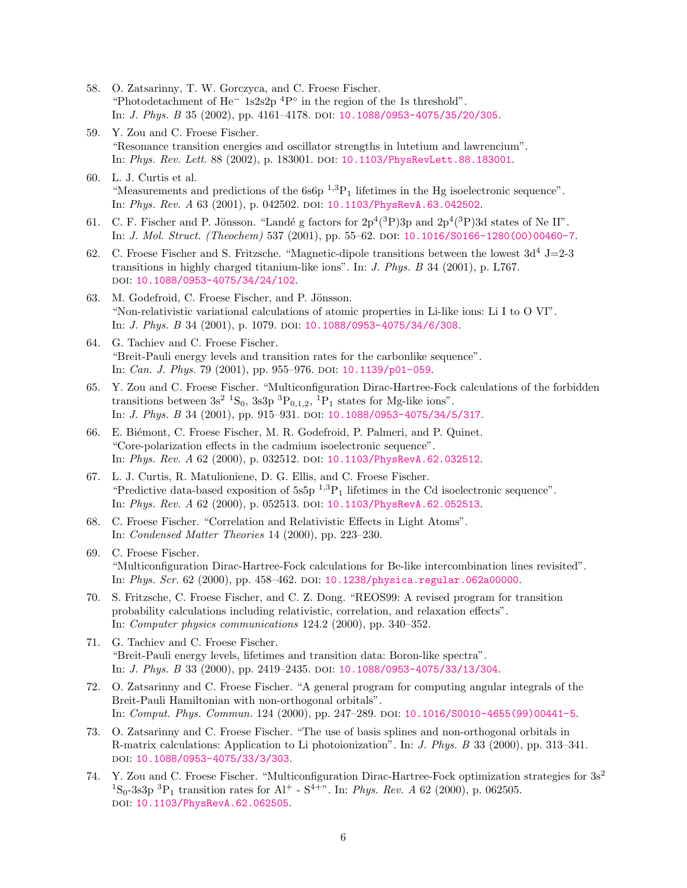- 58. O. Zatsarinny, T. W. Gorczyca, and C. Froese Fischer. "Photodetachment of He<sup>−</sup> 1s2s2p <sup>4</sup>P ◦ in the region of the 1s threshold". In: *J. Phys. B* 35 (2002), pp. 4161-4178. DOI: [10.1088/0953-4075/35/20/305](http://dx.doi.org/10.1088/0953-4075/35/20/305).
- 59. Y. Zou and C. Froese Fischer. "Resonance transition energies and oscillator strengths in lutetium and lawrencium". In: Phys. Rev. Lett. 88 (2002), p. 183001. doi: [10.1103/PhysRevLett.88.183001](http://dx.doi.org/10.1103/PhysRevLett.88.183001).
- 60. L. J. Curtis et al. "Measurements and predictions of the  $6s6p^{-1,3}P_1$  lifetimes in the Hg isoelectronic sequence". In: Phys. Rev. A 63 (2001), p. 042502. DOI: [10.1103/PhysRevA.63.042502](http://dx.doi.org/10.1103/PhysRevA.63.042502).
- 61. C. F. Fischer and P. Jönsson. "Landé g factors for  $2p^4(^3P)3p$  and  $2p^4(^3P)3d$  states of Ne II". In: J. Mol. Struct. (Theochem) 537 (2001), pp. 55–62. doi: [10.1016/S0166-1280\(00\)00460-7](http://dx.doi.org/10.1016/S0166-1280(00)00460-7).
- 62. C. Froese Fischer and S. Fritzsche. "Magnetic-dipole transitions between the lowest  $3d^4$  J=2-3 transitions in highly charged titanium-like ions". In: J. Phys. B 34 (2001), p. L767. doi: [10.1088/0953-4075/34/24/102](http://dx.doi.org/10.1088/0953-4075/34/24/102).
- 63. M. Godefroid, C. Froese Fischer, and P. Jönsson. "Non-relativistic variational calculations of atomic properties in Li-like ions: Li I to O VI". In: *J. Phys. B* 34 (2001), p. 1079. doi: [10.1088/0953-4075/34/6/308](http://dx.doi.org/10.1088/0953-4075/34/6/308).
- 64. G. Tachiev and C. Froese Fischer. "Breit-Pauli energy levels and transition rates for the carbonlike sequence". In: Can. J. Phys. 79 (2001), pp. 955–976. doi: [10.1139/p01-059](http://dx.doi.org/10.1139/p01-059).
- 65. Y. Zou and C. Froese Fischer. "Multiconfiguration Dirac-Hartree-Fock calculations of the forbidden transitions between  $3s^2$  <sup>1</sup>S<sub>0</sub>,  $3s3p$  <sup>3</sup>P<sub>0,1,2</sub>, <sup>1</sup>P<sub>1</sub> states for Mg-like ions". In: *J. Phys. B* 34 (2001), pp. 915–931. DOI:  $10.1088/0953 - 4075/34/5/317$ .
- 66. E. Biémont, C. Froese Fischer, M. R. Godefroid, P. Palmeri, and P. Quinet. "Core-polarization effects in the cadmium isoelectronic sequence". In: Phys. Rev. A 62 (2000), p. 032512. DOI: [10.1103/PhysRevA.62.032512](http://dx.doi.org/10.1103/PhysRevA.62.032512).
- 67. L. J. Curtis, R. Matulioniene, D. G. Ellis, and C. Froese Fischer. "Predictive data-based exposition of 5s5p  $^{1,3}P_1$  lifetimes in the Cd isoelectronic sequence". In: Phys. Rev. A 62 (2000), p. 052513. doi: [10.1103/PhysRevA.62.052513](http://dx.doi.org/10.1103/PhysRevA.62.052513).
- 68. C. Froese Fischer. "Correlation and Relativistic Effects in Light Atoms". In: Condensed Matter Theories 14 (2000), pp. 223–230.
- 69. C. Froese Fischer. "Multiconfiguration Dirac-Hartree-Fock calculations for Be-like intercombination lines revisited". In: Phys. Scr. 62 (2000), pp. 458-462. DOI: [10.1238/physica.regular.062a00000](http://dx.doi.org/10.1238/physica.regular.062a00000).
- 70. S. Fritzsche, C. Froese Fischer, and C. Z. Dong. "REOS99: A revised program for transition probability calculations including relativistic, correlation, and relaxation effects". In: Computer physics communications 124.2 (2000), pp. 340–352.
- 71. G. Tachiev and C. Froese Fischer. "Breit-Pauli energy levels, lifetimes and transition data: Boron-like spectra". In: J. Phys. B 33 (2000), pp. 2419-2435. DOI: [10.1088/0953-4075/33/13/304](http://dx.doi.org/10.1088/0953-4075/33/13/304).
- 72. O. Zatsarinny and C. Froese Fischer. "A general program for computing angular integrals of the Breit-Pauli Hamiltonian with non-orthogonal orbitals". In: Comput. Phys. Commun. 124 (2000), pp. 247–289. doi: [10.1016/S0010-4655\(99\)00441-5](http://dx.doi.org/10.1016/S0010-4655(99)00441-5).
- 73. O. Zatsarinny and C. Froese Fischer. "The use of basis splines and non-orthogonal orbitals in R-matrix calculations: Application to Li photoionization". In: J. Phys. B 33 (2000), pp. 313–341. doi: [10.1088/0953-4075/33/3/303](http://dx.doi.org/10.1088/0953-4075/33/3/303).
- 74. Y. Zou and C. Froese Fischer. "Multiconfiguration Dirac-Hartree-Fock optimization strategies for  $3s^2$ <sup>1</sup>S<sub>0</sub>-3s3p <sup>3</sup>P<sub>1</sub> transition rates for Al<sup>+</sup> - S<sup>4+</sup>". In: *Phys. Rev. A* 62 (2000), p. 062505. doi: [10.1103/PhysRevA.62.062505](http://dx.doi.org/10.1103/PhysRevA.62.062505).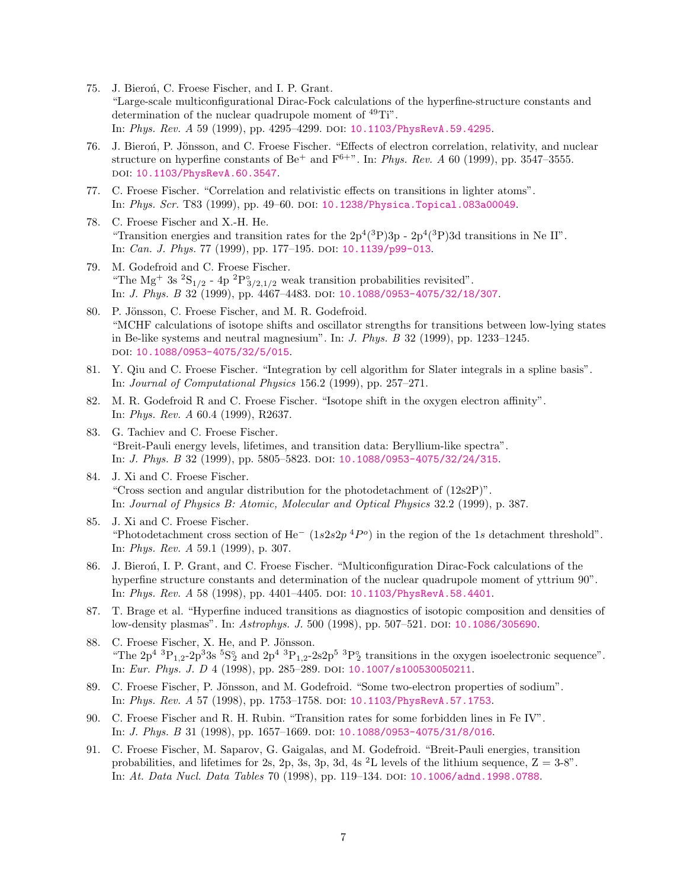- 75. J. Bieroń, C. Froese Fischer, and I. P. Grant. "Large-scale multiconfigurational Dirac-Fock calculations of the hyperfine-structure constants and determination of the nuclear quadrupole moment of <sup>49</sup>Ti". In: Phys. Rev. A 59 (1999), pp. 4295-4299. DOI: [10.1103/PhysRevA.59.4295](http://dx.doi.org/10.1103/PhysRevA.59.4295).
- 76. J. Bieroń, P. Jönsson, and C. Froese Fischer. "Effects of electron correlation, relativity, and nuclear structure on hyperfine constants of Be<sup>+</sup> and F<sup>6+</sup>". In: *Phys. Rev. A* 60 (1999), pp. 3547-3555. doi: [10.1103/PhysRevA.60.3547](http://dx.doi.org/10.1103/PhysRevA.60.3547).
- 77. C. Froese Fischer. "Correlation and relativistic effects on transitions in lighter atoms". In: Phys. Scr. T83 (1999), pp. 49–60. doi: [10.1238/Physica.Topical.083a00049](http://dx.doi.org/10.1238/Physica.Topical.083a00049).
- 78. C. Froese Fischer and X.-H. He. "Transition energies and transition rates for the  $2p^{4}(3P)3p - 2p^{4}(3P)3d$  transitions in Ne II". In: *Can. J. Phys.* 77 (1999), pp. 177-195. DOI: [10.1139/p99-013](http://dx.doi.org/10.1139/p99-013).
- 79. M. Godefroid and C. Froese Fischer. "The Mg<sup>+</sup> 3s <sup>2</sup>S<sub>1/2</sub> - 4p <sup>2</sup>P<sub>3/2,1/2</sub> weak transition probabilities revisited". In: *J. Phys. B* 32 (1999), pp. 4467-4483. DOI: [10.1088/0953-4075/32/18/307](http://dx.doi.org/10.1088/0953-4075/32/18/307).
- 80. P. Jönsson, C. Froese Fischer, and M. R. Godefroid. "MCHF calculations of isotope shifts and oscillator strengths for transitions between low-lying states in Be-like systems and neutral magnesium". In: J. Phys. B 32 (1999), pp. 1233–1245. doi: [10.1088/0953-4075/32/5/015](http://dx.doi.org/10.1088/0953-4075/32/5/015).
- 81. Y. Qiu and C. Froese Fischer. "Integration by cell algorithm for Slater integrals in a spline basis". In: Journal of Computational Physics 156.2 (1999), pp. 257–271.
- 82. M. R. Godefroid R and C. Froese Fischer. "Isotope shift in the oxygen electron affinity". In: Phys. Rev. A 60.4 (1999), R2637.
- 83. G. Tachiev and C. Froese Fischer. "Breit-Pauli energy levels, lifetimes, and transition data: Beryllium-like spectra". In: *J. Phys. B* 32 (1999), pp. 5805–5823. DOI: [10.1088/0953-4075/32/24/315](http://dx.doi.org/10.1088/0953-4075/32/24/315).
- 84. J. Xi and C. Froese Fischer. "Cross section and angular distribution for the photodetachment of  $(12s2P)$ ". In: Journal of Physics B: Atomic, Molecular and Optical Physics 32.2 (1999), p. 387.
- 85. J. Xi and C. Froese Fischer. "Photodetachment cross section of He<sup>-</sup> (1s2s2p<sup>4</sup>P<sup>o</sup>) in the region of the 1s detachment threshold". In: Phys. Rev. A 59.1 (1999), p. 307.
- 86. J. Bieroń, I. P. Grant, and C. Froese Fischer. "Multiconfiguration Dirac-Fock calculations of the hyperfine structure constants and determination of the nuclear quadrupole moment of yttrium 90". In: Phys. Rev. A 58 (1998), pp. 4401–4405. doi: [10.1103/PhysRevA.58.4401](http://dx.doi.org/10.1103/PhysRevA.58.4401).
- 87. T. Brage et al. "Hyperfine induced transitions as diagnostics of isotopic composition and densities of low-density plasmas". In: Astrophys. J. 500 (1998), pp. 507–521. DOI: [10.1086/305690](http://dx.doi.org/10.1086/305690).
- 88. C. Froese Fischer, X. He, and P. Jönsson. "The  $2p^4$   ${}^{3}P_{1,2}$ - $2p^3$ 3s  ${}^{5}S_2$  and  $2p^4$   ${}^{3}P_{1,2}$ - $2s2p^5$   ${}^{3}P_2$  transitions in the oxygen isoelectronic sequence". In: Eur. Phys. J. D 4 (1998), pp. 285-289. DOI: [10.1007/s100530050211](http://dx.doi.org/10.1007/s100530050211).
- 89. C. Froese Fischer, P. Jönsson, and M. Godefroid. "Some two-electron properties of sodium". In: Phys. Rev. A 57 (1998), pp. 1753–1758. doi: [10.1103/PhysRevA.57.1753](http://dx.doi.org/10.1103/PhysRevA.57.1753).
- 90. C. Froese Fischer and R. H. Rubin. "Transition rates for some forbidden lines in Fe IV". In: *J. Phys. B* 31 (1998), pp. 1657-1669. DOI: [10.1088/0953-4075/31/8/016](http://dx.doi.org/10.1088/0953-4075/31/8/016).
- 91. C. Froese Fischer, M. Saparov, G. Gaigalas, and M. Godefroid. "Breit-Pauli energies, transition probabilities, and lifetimes for 2s, 2p, 3s, 3p, 3d, 4s  ${}^{2}$ L levels of the lithium sequence,  $Z = 3.8"$ . In: At. Data Nucl. Data Tables 70 (1998), pp. 119-134. DOI: [10.1006/adnd.1998.0788](http://dx.doi.org/10.1006/adnd.1998.0788).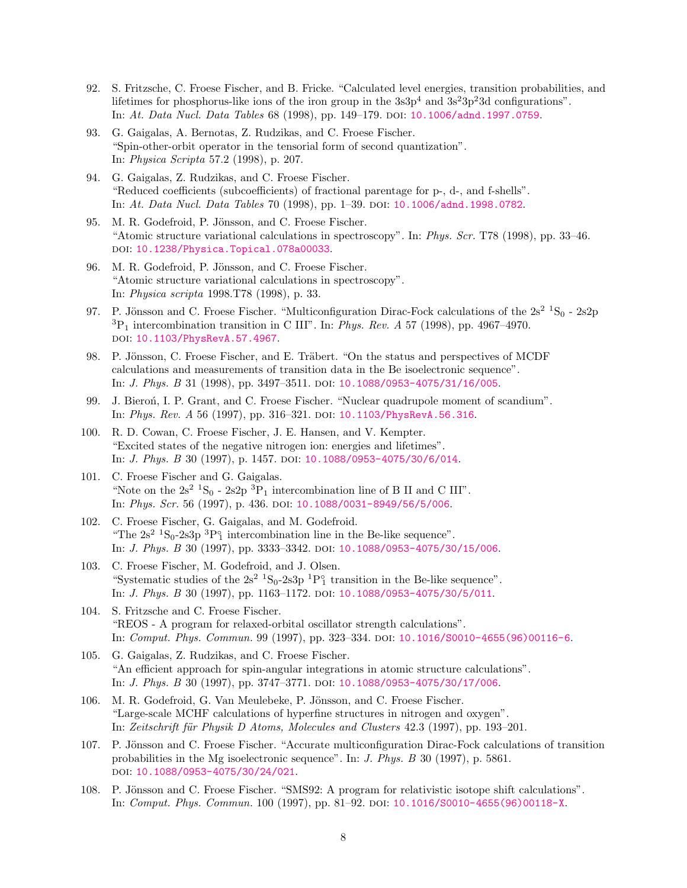- 92. S. Fritzsche, C. Froese Fischer, and B. Fricke. "Calculated level energies, transition probabilities, and lifetimes for phosphorus-like ions of the iron group in the  $3s^3p^4$  and  $3s^23p^23d$  configurations". In: At. Data Nucl. Data Tables 68 (1998), pp. 149–179. DOI: [10.1006/adnd.1997.0759](http://dx.doi.org/10.1006/adnd.1997.0759).
- 93. G. Gaigalas, A. Bernotas, Z. Rudzikas, and C. Froese Fischer. "Spin-other-orbit operator in the tensorial form of second quantization". In: Physica Scripta 57.2 (1998), p. 207.
- 94. G. Gaigalas, Z. Rudzikas, and C. Froese Fischer. "Reduced coefficients (subcoefficients) of fractional parentage for p-, d-, and f-shells". In: At. Data Nucl. Data Tables 70 (1998), pp. 1–39. doi: [10.1006/adnd.1998.0782](http://dx.doi.org/10.1006/adnd.1998.0782).
- 95. M. R. Godefroid, P. Jönsson, and C. Froese Fischer. "Atomic structure variational calculations in spectroscopy". In: Phys. Scr. T78 (1998), pp. 33–46. doi: [10.1238/Physica.Topical.078a00033](http://dx.doi.org/10.1238/Physica.Topical.078a00033).
- 96. M. R. Godefroid, P. Jönsson, and C. Froese Fischer. "Atomic structure variational calculations in spectroscopy". In: Physica scripta 1998.T78 (1998), p. 33.
- 97. P. Jönsson and C. Froese Fischer. "Multiconfiguration Dirac-Fock calculations of the  $2s^2$   ${}^1S_0$  2s2p  ${}^{3}P_{1}$  intercombination transition in C III". In: Phys. Rev. A 57 (1998), pp. 4967–4970. doi: [10.1103/PhysRevA.57.4967](http://dx.doi.org/10.1103/PhysRevA.57.4967).
- 98. P. Jönsson, C. Froese Fischer, and E. Träbert. "On the status and perspectives of MCDF calculations and measurements of transition data in the Be isoelectronic sequence". In: *J. Phys. B* 31 (1998), pp. 3497-3511. DOI: [10.1088/0953-4075/31/16/005](http://dx.doi.org/10.1088/0953-4075/31/16/005).
- 99. J. Bieroń, I. P. Grant, and C. Froese Fischer. "Nuclear quadrupole moment of scandium". In: *Phys. Rev. A* 56 (1997), pp. 316–321. DOI:  $10.1103/PhysRevA.56.316$ .
- 100. R. D. Cowan, C. Froese Fischer, J. E. Hansen, and V. Kempter. "Excited states of the negative nitrogen ion: energies and lifetimes". In: *J. Phys. B* 30 (1997), p. 1457. doi: [10.1088/0953-4075/30/6/014](http://dx.doi.org/10.1088/0953-4075/30/6/014).
- 101. C. Froese Fischer and G. Gaigalas. "Note on the  $2s^2$  <sup>1</sup>S<sub>0</sub> -  $2s^2p^3P_1$  intercombination line of B II and C III". In: Phys. Scr. 56 (1997), p. 436. DOI: [10.1088/0031-8949/56/5/006](http://dx.doi.org/10.1088/0031-8949/56/5/006).
- 102. C. Froese Fischer, G. Gaigalas, and M. Godefroid. "The  $2s^2$  <sup>1</sup>S<sub>0</sub>-2s3p <sup>3</sup>P<sup>3</sup> intercombination line in the Be-like sequence". In: *J. Phys. B* 30 (1997), pp. 3333-3342. DOI: [10.1088/0953-4075/30/15/006](http://dx.doi.org/10.1088/0953-4075/30/15/006).
- 103. C. Froese Fischer, M. Godefroid, and J. Olsen. "Systematic studies of the  $2s^2$   ${}^{1}S_0$ -2s3p  ${}^{1}P_1^{\circ}$  transition in the Be-like sequence". In: J. Phys. B 30 (1997), pp. 1163–1172. doi: [10.1088/0953-4075/30/5/011](http://dx.doi.org/10.1088/0953-4075/30/5/011).
- 104. S. Fritzsche and C. Froese Fischer. "REOS - A program for relaxed-orbital oscillator strength calculations". In: Comput. Phys. Commun. 99 (1997), pp. 323–334. doi: [10.1016/S0010-4655\(96\)00116-6](http://dx.doi.org/10.1016/S0010-4655(96)00116-6).
- 105. G. Gaigalas, Z. Rudzikas, and C. Froese Fischer. "An efficient approach for spin-angular integrations in atomic structure calculations". In: *J. Phys. B* 30 (1997), pp. 3747-3771. DOI: [10.1088/0953-4075/30/17/006](http://dx.doi.org/10.1088/0953-4075/30/17/006).
- 106. M. R. Godefroid, G. Van Meulebeke, P. Jönsson, and C. Froese Fischer. "Large-scale MCHF calculations of hyperfine structures in nitrogen and oxygen". In: Zeitschrift für Physik D Atoms, Molecules and Clusters 42.3 (1997), pp. 193–201.
- 107. P. Jönsson and C. Froese Fischer. "Accurate multiconfiguration Dirac-Fock calculations of transition probabilities in the Mg isoelectronic sequence". In: J. Phys. B 30 (1997), p. 5861. doi: [10.1088/0953-4075/30/24/021](http://dx.doi.org/10.1088/0953-4075/30/24/021).
- 108. P. Jönsson and C. Froese Fischer. "SMS92: A program for relativistic isotope shift calculations". In: Comput. Phys. Commun. 100 (1997), pp. 81–92. doi: [10.1016/S0010-4655\(96\)00118-X](http://dx.doi.org/10.1016/S0010-4655(96)00118-X).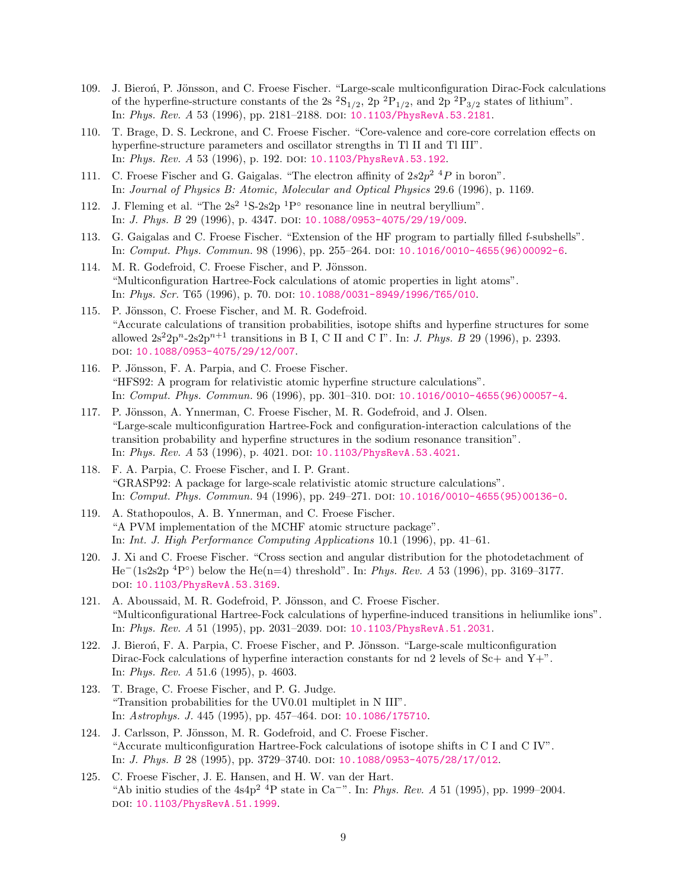- 109. J. Bieron, P. Jönsson, and C. Froese Fischer. "Large-scale multiconfiguration Dirac-Fock calculations of the hyperfine-structure constants of the 2s  ${}^{2}S_{1/2}$ ,  ${}^{2}P_{1/2}$ , and  ${}^{2}P_{3/2}$  states of lithium". In: Phys. Rev. A 53 (1996), pp. 2181-2188. DOI: [10.1103/PhysRevA.53.2181](http://dx.doi.org/10.1103/PhysRevA.53.2181).
- 110. T. Brage, D. S. Leckrone, and C. Froese Fischer. "Core-valence and core-core correlation effects on hyperfine-structure parameters and oscillator strengths in Tl II and Tl III". In: Phys. Rev. A 53 (1996), p. 192. DOI: [10.1103/PhysRevA.53.192](http://dx.doi.org/10.1103/PhysRevA.53.192).
- 111. C. Froese Fischer and G. Gaigalas. "The electron affinity of  $2s2p^2$  <sup>4</sup>P in boron". In: Journal of Physics B: Atomic, Molecular and Optical Physics 29.6 (1996), p. 1169.
- 112. J. Fleming et al. "The  $2s^2$  <sup>1</sup>S-2s2p <sup>1</sup>P° resonance line in neutral beryllium". In: *J. Phys. B* 29 (1996), p. 4347. DOI: [10.1088/0953-4075/29/19/009](http://dx.doi.org/10.1088/0953-4075/29/19/009).
- 113. G. Gaigalas and C. Froese Fischer. "Extension of the HF program to partially filled f-subshells". In: Comput. Phys. Commun. 98 (1996), pp. 255–264. doi: [10.1016/0010-4655\(96\)00092-6](http://dx.doi.org/10.1016/0010-4655(96)00092-6).
- 114. M. R. Godefroid, C. Froese Fischer, and P. Jönsson. "Multiconfiguration Hartree-Fock calculations of atomic properties in light atoms". In: Phys. Scr. T65 (1996), p. 70. DOI: [10.1088/0031-8949/1996/T65/010](http://dx.doi.org/10.1088/0031-8949/1996/T65/010).
- 115. P. Jönsson, C. Froese Fischer, and M. R. Godefroid. "Accurate calculations of transition probabilities, isotope shifts and hyperfine structures for some allowed  $2s^22p^n-2s2p^{n+1}$  transitions in B I, C II and C I". In: *J. Phys. B* 29 (1996), p. 2393. doi: [10.1088/0953-4075/29/12/007](http://dx.doi.org/10.1088/0953-4075/29/12/007).
- 116. P. Jönsson, F. A. Parpia, and C. Froese Fischer. "HFS92: A program for relativistic atomic hyperfine structure calculations". In: Comput. Phys. Commun. 96 (1996), pp. 301–310. doi: [10.1016/0010-4655\(96\)00057-4](http://dx.doi.org/10.1016/0010-4655(96)00057-4).
- 117. P. Jönsson, A. Ynnerman, C. Froese Fischer, M. R. Godefroid, and J. Olsen. "Large-scale multiconfiguration Hartree-Fock and configuration-interaction calculations of the transition probability and hyperfine structures in the sodium resonance transition". In: Phys. Rev. A 53 (1996), p. 4021. DOI: [10.1103/PhysRevA.53.4021](http://dx.doi.org/10.1103/PhysRevA.53.4021).
- 118. F. A. Parpia, C. Froese Fischer, and I. P. Grant. "GRASP92: A package for large-scale relativistic atomic structure calculations". In: *Comput. Phys. Commun.* 94 (1996), pp. 249–271. DOI:  $10.1016/0010-4655(95)00136-0$ .
- 119. A. Stathopoulos, A. B. Ynnerman, and C. Froese Fischer. "A PVM implementation of the MCHF atomic structure package". In: Int. J. High Performance Computing Applications 10.1 (1996), pp. 41–61.
- 120. J. Xi and C. Froese Fischer. "Cross section and angular distribution for the photodetachment of He<sup>-</sup>(1s2s2p<sup>4</sup>P°) below the He(n=4) threshold". In: *Phys. Rev. A* 53 (1996), pp. 3169–3177. doi: [10.1103/PhysRevA.53.3169](http://dx.doi.org/10.1103/PhysRevA.53.3169).
- 121. A. Aboussaid, M. R. Godefroid, P. Jönsson, and C. Froese Fischer. "Multiconfigurational Hartree-Fock calculations of hyperfine-induced transitions in heliumlike ions". In: Phys. Rev. A 51 (1995), pp. 2031-2039. DOI: [10.1103/PhysRevA.51.2031](http://dx.doi.org/10.1103/PhysRevA.51.2031).
- 122. J. Bieroń, F. A. Parpia, C. Froese Fischer, and P. Jönsson. "Large-scale multiconfiguration Dirac-Fock calculations of hyperfine interaction constants for nd 2 levels of Sc+ and Y+". In: Phys. Rev. A 51.6 (1995), p. 4603.
- 123. T. Brage, C. Froese Fischer, and P. G. Judge. "Transition probabilities for the UV0.01 multiplet in N III". In: Astrophys. J. 445 (1995), pp. 457–464. doi: [10.1086/175710](http://dx.doi.org/10.1086/175710).
- 124. J. Carlsson, P. Jönsson, M. R. Godefroid, and C. Froese Fischer. "Accurate multiconfiguration Hartree-Fock calculations of isotope shifts in C I and C IV". In: *J. Phys. B* 28 (1995), pp. 3729–3740. doi: [10.1088/0953-4075/28/17/012](http://dx.doi.org/10.1088/0953-4075/28/17/012).
- 125. C. Froese Fischer, J. E. Hansen, and H. W. van der Hart. "Ab initio studies of the  $4s4p^2$ <sup>4</sup>P state in Ca<sup>-</sup>". In: *Phys. Rev. A* 51 (1995), pp. 1999–2004. DOI: [10.1103/PhysRevA.51.1999](http://dx.doi.org/10.1103/PhysRevA.51.1999).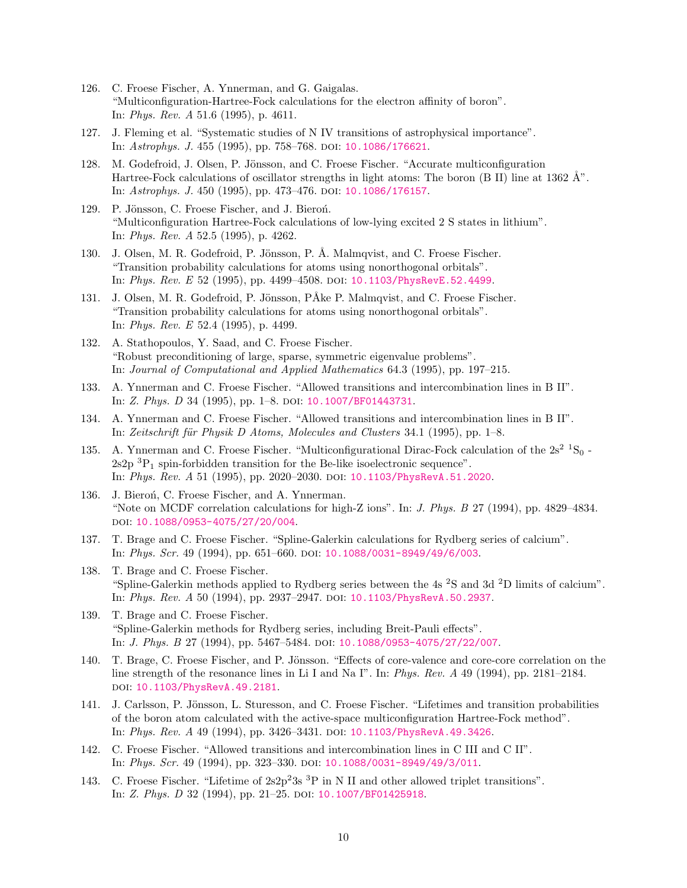- 126. C. Froese Fischer, A. Ynnerman, and G. Gaigalas. "Multiconfiguration-Hartree-Fock calculations for the electron affinity of boron". In: Phys. Rev. A 51.6 (1995), p. 4611.
- 127. J. Fleming et al. "Systematic studies of N IV transitions of astrophysical importance". In: Astrophys. J. 455 (1995), pp. 758-768. DOI: [10.1086/176621](http://dx.doi.org/10.1086/176621).
- 128. M. Godefroid, J. Olsen, P. Jönsson, and C. Froese Fischer. "Accurate multiconfiguration Hartree-Fock calculations of oscillator strengths in light atoms: The boron (B II) line at 1362  $\AA$ ". In: Astrophys. J. 450 (1995), pp. 473–476. doi: [10.1086/176157](http://dx.doi.org/10.1086/176157).
- 129. P. Jönsson, C. Froese Fischer, and J. Bieroń. "Multiconfiguration Hartree-Fock calculations of low-lying excited 2 S states in lithium". In: Phys. Rev. A 52.5 (1995), p. 4262.
- 130. J. Olsen, M. R. Godefroid, P. Jönsson, P. Å. Malmqvist, and C. Froese Fischer. "Transition probability calculations for atoms using nonorthogonal orbitals". In: *Phys. Rev. E* 52 (1995), pp. 4499–4508. DOI: [10.1103/PhysRevE.52.4499](http://dx.doi.org/10.1103/PhysRevE.52.4499).
- 131. J. Olsen, M. R. Godefroid, P. Jönsson, PÅke P. Malmqvist, and C. Froese Fischer. "Transition probability calculations for atoms using nonorthogonal orbitals". In: Phys. Rev. E 52.4 (1995), p. 4499.
- 132. A. Stathopoulos, Y. Saad, and C. Froese Fischer. "Robust preconditioning of large, sparse, symmetric eigenvalue problems". In: Journal of Computational and Applied Mathematics 64.3 (1995), pp. 197–215.
- 133. A. Ynnerman and C. Froese Fischer. "Allowed transitions and intercombination lines in B II". In: Z. Phys. D 34 (1995), pp. 1-8. DOI: [10.1007/BF01443731](http://dx.doi.org/10.1007/BF01443731).
- 134. A. Ynnerman and C. Froese Fischer. "Allowed transitions and intercombination lines in B II". In: Zeitschrift für Physik D Atoms, Molecules and Clusters 34.1 (1995), pp. 1–8.
- 135. A. Ynnerman and C. Froese Fischer. "Multiconfigurational Dirac-Fock calculation of the  $2s^2$   ${}^{1}S_0$  - $2s2p \,{}^{3}P_{1}$  spin-forbidden transition for the Be-like isoelectronic sequence". In: Phys. Rev. A 51 (1995), pp. 2020–2030. doi: [10.1103/PhysRevA.51.2020](http://dx.doi.org/10.1103/PhysRevA.51.2020).
- 136. J. Bieroń, C. Froese Fischer, and A. Ynnerman. "Note on MCDF correlation calculations for high-Z ions". In: J. Phys. B 27 (1994), pp. 4829–4834. doi: [10.1088/0953-4075/27/20/004](http://dx.doi.org/10.1088/0953-4075/27/20/004).
- 137. T. Brage and C. Froese Fischer. "Spline-Galerkin calculations for Rydberg series of calcium". In: Phys. Scr. 49 (1994), pp. 651–660. doi: [10.1088/0031-8949/49/6/003](http://dx.doi.org/10.1088/0031-8949/49/6/003).
- 138. T. Brage and C. Froese Fischer. "Spline-Galerkin methods applied to Rydberg series between the 4s <sup>2</sup>S and 3d <sup>2</sup>D limits of calcium". In: Phys. Rev. A 50 (1994), pp. 2937-2947. DOI: [10.1103/PhysRevA.50.2937](http://dx.doi.org/10.1103/PhysRevA.50.2937).
- 139. T. Brage and C. Froese Fischer. "Spline-Galerkin methods for Rydberg series, including Breit-Pauli effects". In: *J. Phys. B* 27 (1994), pp. 5467-5484. DOI: [10.1088/0953-4075/27/22/007](http://dx.doi.org/10.1088/0953-4075/27/22/007).
- 140. T. Brage, C. Froese Fischer, and P. Jönsson. "Effects of core-valence and core-core correlation on the line strength of the resonance lines in Li I and Na I". In: Phys. Rev. A 49 (1994), pp. 2181–2184. doi: [10.1103/PhysRevA.49.2181](http://dx.doi.org/10.1103/PhysRevA.49.2181).
- 141. J. Carlsson, P. Jönsson, L. Sturesson, and C. Froese Fischer. "Lifetimes and transition probabilities of the boron atom calculated with the active-space multiconfiguration Hartree-Fock method". In: Phys. Rev. A 49 (1994), pp. 3426-3431. DOI: [10.1103/PhysRevA.49.3426](http://dx.doi.org/10.1103/PhysRevA.49.3426).
- 142. C. Froese Fischer. "Allowed transitions and intercombination lines in C III and C II". In: Phys. Scr. 49 (1994), pp. 323-330. DOI: [10.1088/0031-8949/49/3/011](http://dx.doi.org/10.1088/0031-8949/49/3/011).
- 143. C. Froese Fischer. "Lifetime of  $2s2p^23s$ <sup>3</sup>P in N II and other allowed triplet transitions". In: Z. Phys. D 32 (1994), pp. 21–25. doi: [10.1007/BF01425918](http://dx.doi.org/10.1007/BF01425918).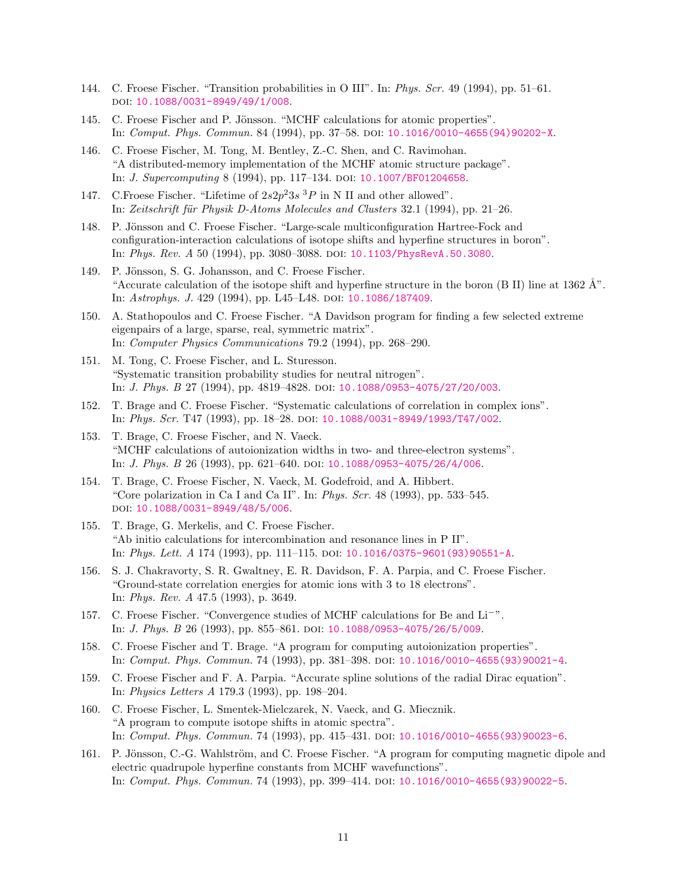- 144. C. Froese Fischer. "Transition probabilities in O III". In: Phys. Scr. 49 (1994), pp. 51–61. doi: [10.1088/0031-8949/49/1/008](http://dx.doi.org/10.1088/0031-8949/49/1/008).
- 145. C. Froese Fischer and P. Jönsson. "MCHF calculations for atomic properties". In: Comput. Phys. Commun. 84 (1994), pp. 37–58. doi: [10.1016/0010-4655\(94\)90202-X](http://dx.doi.org/10.1016/0010-4655(94)90202-X).
- 146. C. Froese Fischer, M. Tong, M. Bentley, Z.-C. Shen, and C. Ravimohan. "A distributed-memory implementation of the MCHF atomic structure package". In: *J. Supercomputing* 8 (1994), pp. 117-134. DOI: [10.1007/BF01204658](http://dx.doi.org/10.1007/BF01204658).
- 147. C. Froese Fischer. "Lifetime of  $2s2p^23s$  <sup>3</sup>P in N II and other allowed". In: Zeitschrift für Physik D-Atoms Molecules and Clusters 32.1 (1994), pp. 21–26.
- 148. P. Jönsson and C. Froese Fischer. "Large-scale multiconfiguration Hartree-Fock and configuration-interaction calculations of isotope shifts and hyperfine structures in boron". In: Phys. Rev. A 50 (1994), pp. 3080–3088. doi: [10.1103/PhysRevA.50.3080](http://dx.doi.org/10.1103/PhysRevA.50.3080).
- 149. P. Jönsson, S. G. Johansson, and C. Froese Fischer. "Accurate calculation of the isotope shift and hyperfine structure in the boron (B II) line at 1362  $\AA$ ". In: Astrophys. J. 429 (1994), pp. L45–L48. doi: [10.1086/187409](http://dx.doi.org/10.1086/187409).
- 150. A. Stathopoulos and C. Froese Fischer. "A Davidson program for finding a few selected extreme eigenpairs of a large, sparse, real, symmetric matrix". In: Computer Physics Communications 79.2 (1994), pp. 268–290.
- 151. M. Tong, C. Froese Fischer, and L. Sturesson. "Systematic transition probability studies for neutral nitrogen". In: *J. Phys. B* 27 (1994), pp. 4819-4828. DOI: [10.1088/0953-4075/27/20/003](http://dx.doi.org/10.1088/0953-4075/27/20/003).
- 152. T. Brage and C. Froese Fischer. "Systematic calculations of correlation in complex ions". In: Phys. Scr. T47 (1993), pp. 18-28. DOI: [10.1088/0031-8949/1993/T47/002](http://dx.doi.org/10.1088/0031-8949/1993/T47/002).
- 153. T. Brage, C. Froese Fischer, and N. Vaeck. "MCHF calculations of autoionization widths in two- and three-electron systems". In: *J. Phys. B* 26 (1993), pp. 621–640. DOI: [10.1088/0953-4075/26/4/006](http://dx.doi.org/10.1088/0953-4075/26/4/006).
- 154. T. Brage, C. Froese Fischer, N. Vaeck, M. Godefroid, and A. Hibbert. "Core polarization in Ca I and Ca II". In: Phys. Scr. 48 (1993), pp. 533–545. doi: [10.1088/0031-8949/48/5/006](http://dx.doi.org/10.1088/0031-8949/48/5/006).
- 155. T. Brage, G. Merkelis, and C. Froese Fischer. "Ab initio calculations for intercombination and resonance lines in P II". In: Phys. Lett. A 174 (1993), pp. 111–115. doi: [10.1016/0375-9601\(93\)90551-A](http://dx.doi.org/10.1016/0375-9601(93)90551-A).
- 156. S. J. Chakravorty, S. R. Gwaltney, E. R. Davidson, F. A. Parpia, and C. Froese Fischer. "Ground-state correlation energies for atomic ions with 3 to 18 electrons". In: Phys. Rev. A 47.5 (1993), p. 3649.
- 157. C. Froese Fischer. "Convergence studies of MCHF calculations for Be and Li<sup>−</sup>". In: *J. Phys. B* 26 (1993), pp. 855–861. DOI: [10.1088/0953-4075/26/5/009](http://dx.doi.org/10.1088/0953-4075/26/5/009).
- 158. C. Froese Fischer and T. Brage. "A program for computing autoionization properties". In: Comput. Phys. Commun. 74 (1993), pp. 381–398. doi: [10.1016/0010-4655\(93\)90021-4](http://dx.doi.org/10.1016/0010-4655(93)90021-4).
- 159. C. Froese Fischer and F. A. Parpia. "Accurate spline solutions of the radial Dirac equation". In: Physics Letters A 179.3 (1993), pp. 198–204.
- 160. C. Froese Fischer, L. Smentek-Mielczarek, N. Vaeck, and G. Miecznik. "A program to compute isotope shifts in atomic spectra". In: Comput. Phys. Commun. 74 (1993), pp. 415–431. doi: [10.1016/0010-4655\(93\)90023-6](http://dx.doi.org/10.1016/0010-4655(93)90023-6).
- 161. P. Jönsson, C.-G. Wahlström, and C. Froese Fischer. "A program for computing magnetic dipole and electric quadrupole hyperfine constants from MCHF wavefunctions". In: Comput. Phys. Commun. 74 (1993), pp. 399–414. doi: [10.1016/0010-4655\(93\)90022-5](http://dx.doi.org/10.1016/0010-4655(93)90022-5).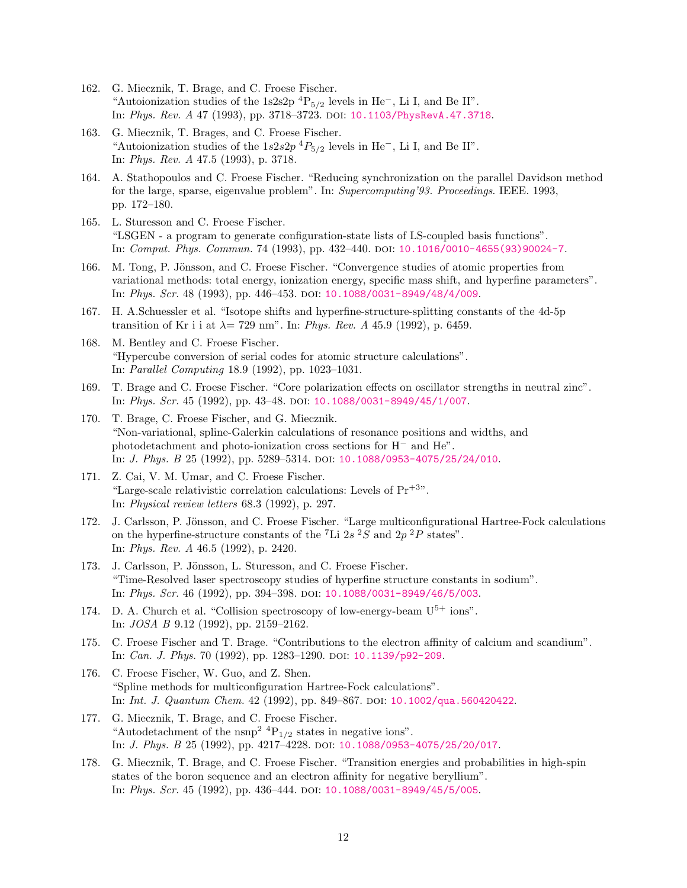- 162. G. Miecznik, T. Brage, and C. Froese Fischer. "Autoionization studies of the 1s2s2p <sup>4</sup>P<sub>5/2</sub> levels in He<sup>-</sup>, Li I, and Be II". In: Phys. Rev. A 47 (1993), pp. 3718–3723. doi: [10.1103/PhysRevA.47.3718](http://dx.doi.org/10.1103/PhysRevA.47.3718).
- 163. G. Miecznik, T. Brages, and C. Froese Fischer. "Autoionization studies of the  $1s2s2p$ <sup>4</sup> $P_{5/2}$  levels in He<sup>-</sup>, Li I, and Be II". In: Phys. Rev. A 47.5 (1993), p. 3718.
- 164. A. Stathopoulos and C. Froese Fischer. "Reducing synchronization on the parallel Davidson method for the large, sparse, eigenvalue problem". In: Supercomputing'93. Proceedings. IEEE. 1993, pp. 172–180.
- 165. L. Sturesson and C. Froese Fischer. "LSGEN - a program to generate configuration-state lists of LS-coupled basis functions". In: Comput. Phys. Commun. 74 (1993), pp. 432–440. doi: [10.1016/0010-4655\(93\)90024-7](http://dx.doi.org/10.1016/0010-4655(93)90024-7).
- 166. M. Tong, P. Jönsson, and C. Froese Fischer. "Convergence studies of atomic properties from variational methods: total energy, ionization energy, specific mass shift, and hyperfine parameters". In: Phys. Scr. 48 (1993), pp. 446-453. DOI: [10.1088/0031-8949/48/4/009](http://dx.doi.org/10.1088/0031-8949/48/4/009).
- 167. H. A.Schuessler et al. "Isotope shifts and hyperfine-structure-splitting constants of the 4d-5p transition of Kr i i at  $\lambda = 729$  nm". In: Phys. Rev. A 45.9 (1992), p. 6459.
- 168. M. Bentley and C. Froese Fischer. "Hypercube conversion of serial codes for atomic structure calculations". In: Parallel Computing 18.9 (1992), pp. 1023–1031.
- 169. T. Brage and C. Froese Fischer. "Core polarization effects on oscillator strengths in neutral zinc". In: Phys. Scr. 45 (1992), pp. 43-48. DOI: [10.1088/0031-8949/45/1/007](http://dx.doi.org/10.1088/0031-8949/45/1/007).
- 170. T. Brage, C. Froese Fischer, and G. Miecznik. "Non-variational, spline-Galerkin calculations of resonance positions and widths, and photodetachment and photo-ionization cross sections for H<sup>−</sup> and He". In: *J. Phys. B* 25 (1992), pp. 5289-5314. DOI: [10.1088/0953-4075/25/24/010](http://dx.doi.org/10.1088/0953-4075/25/24/010).
- 171. Z. Cai, V. M. Umar, and C. Froese Fischer. "Large-scale relativistic correlation calculations: Levels of  $Pr^{+3}$ ". In: Physical review letters 68.3 (1992), p. 297.
- 172. J. Carlsson, P. Jönsson, and C. Froese Fischer. "Large multiconfigurational Hartree-Fock calculations on the hyperfine-structure constants of the <sup>7</sup>Li  $2s$  <sup>2</sup>S and  $2p$  <sup>2</sup>P states". In: Phys. Rev. A 46.5 (1992), p. 2420.
- 173. J. Carlsson, P. Jönsson, L. Sturesson, and C. Froese Fischer. "Time-Resolved laser spectroscopy studies of hyperfine structure constants in sodium". In: Phys. Scr. 46 (1992), pp. 394–398. doi: [10.1088/0031-8949/46/5/003](http://dx.doi.org/10.1088/0031-8949/46/5/003).
- 174. D. A. Church et al. "Collision spectroscopy of low-energy-beam  $U^{5+}$  ions". In: JOSA B 9.12 (1992), pp. 2159–2162.
- 175. C. Froese Fischer and T. Brage. "Contributions to the electron affinity of calcium and scandium". In: *Can. J. Phys.* 70 (1992), pp. 1283-1290. DOI: [10.1139/p92-209](http://dx.doi.org/10.1139/p92-209).
- 176. C. Froese Fischer, W. Guo, and Z. Shen. "Spline methods for multiconfiguration Hartree-Fock calculations". In: Int. J. Quantum Chem. 42 (1992), pp. 849–867. DOI: [10.1002/qua.560420422](http://dx.doi.org/10.1002/qua.560420422).
- 177. G. Miecznik, T. Brage, and C. Froese Fischer. "Autodetachment of the nsnp<sup>2</sup>  ${}^{4}P_{1/2}$  states in negative ions". In: *J. Phys. B* 25 (1992), pp. 4217-4228. DOI: [10.1088/0953-4075/25/20/017](http://dx.doi.org/10.1088/0953-4075/25/20/017).
- 178. G. Miecznik, T. Brage, and C. Froese Fischer. "Transition energies and probabilities in high-spin states of the boron sequence and an electron affinity for negative beryllium". In: *Phys. Scr.* 45 (1992), pp. 436–444. DOI: [10.1088/0031-8949/45/5/005](http://dx.doi.org/10.1088/0031-8949/45/5/005).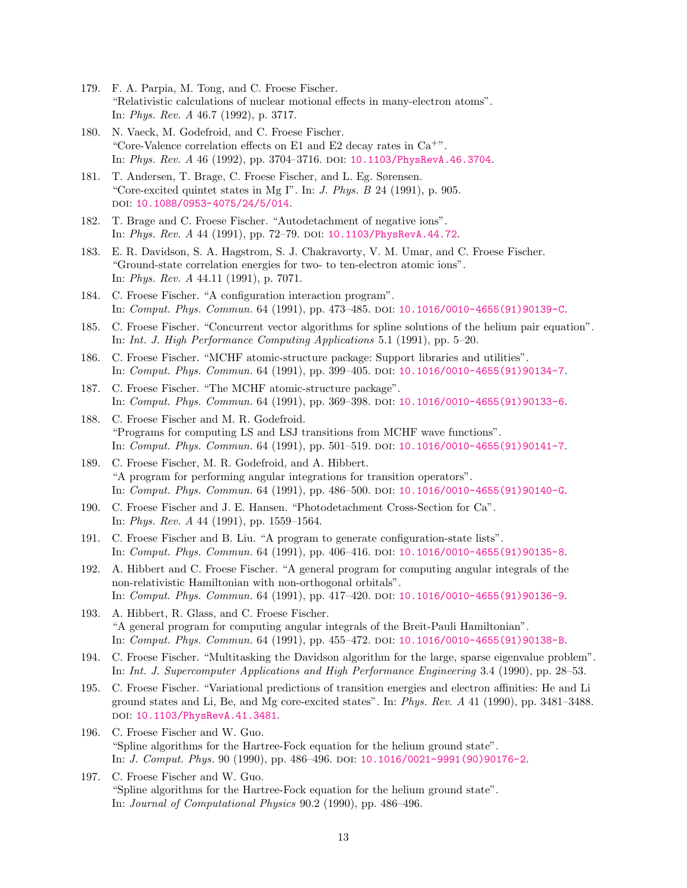- 179. F. A. Parpia, M. Tong, and C. Froese Fischer. "Relativistic calculations of nuclear motional effects in many-electron atoms". In: Phys. Rev. A 46.7 (1992), p. 3717.
- 180. N. Vaeck, M. Godefroid, and C. Froese Fischer. "Core-Valence correlation effects on E1 and E2 decay rates in  $Ca^{+}$ ". In: Phys. Rev. A 46 (1992), pp. 3704–3716. doi: [10.1103/PhysRevA.46.3704](http://dx.doi.org/10.1103/PhysRevA.46.3704).
- 181. T. Andersen, T. Brage, C. Froese Fischer, and L. Eg. Sørensen. "Core-excited quintet states in Mg I". In: J. Phys. B 24 (1991), p. 905. doi: [10.1088/0953-4075/24/5/014](http://dx.doi.org/10.1088/0953-4075/24/5/014).
- 182. T. Brage and C. Froese Fischer. "Autodetachment of negative ions". In: Phys. Rev. A 44 (1991), pp. 72–79. doi: [10.1103/PhysRevA.44.72](http://dx.doi.org/10.1103/PhysRevA.44.72).
- 183. E. R. Davidson, S. A. Hagstrom, S. J. Chakravorty, V. M. Umar, and C. Froese Fischer. "Ground-state correlation energies for two- to ten-electron atomic ions". In: Phys. Rev. A 44.11 (1991), p. 7071.
- 184. C. Froese Fischer. "A configuration interaction program". In: Comput. Phys. Commun. 64 (1991), pp. 473–485. doi: [10.1016/0010-4655\(91\)90139-C](http://dx.doi.org/10.1016/0010-4655(91)90139-C).
- 185. C. Froese Fischer. "Concurrent vector algorithms for spline solutions of the helium pair equation". In: Int. J. High Performance Computing Applications 5.1 (1991), pp. 5–20.
- 186. C. Froese Fischer. "MCHF atomic-structure package: Support libraries and utilities". In: Comput. Phys. Commun. 64 (1991), pp. 399–405. doi: [10.1016/0010-4655\(91\)90134-7](http://dx.doi.org/10.1016/0010-4655(91)90134-7).
- 187. C. Froese Fischer. "The MCHF atomic-structure package". In: Comput. Phys. Commun. 64 (1991), pp. 369–398. doi: [10.1016/0010-4655\(91\)90133-6](http://dx.doi.org/10.1016/0010-4655(91)90133-6).
- 188. C. Froese Fischer and M. R. Godefroid. "Programs for computing LS and LSJ transitions from MCHF wave functions". In: Comput. Phys. Commun. 64 (1991), pp. 501–519. doi: [10.1016/0010-4655\(91\)90141-7](http://dx.doi.org/10.1016/0010-4655(91)90141-7).
- 189. C. Froese Fischer, M. R. Godefroid, and A. Hibbert. "A program for performing angular integrations for transition operators". In: Comput. Phys. Commun. 64 (1991), pp. 486–500. doi: [10.1016/0010-4655\(91\)90140-G](http://dx.doi.org/10.1016/0010-4655(91)90140-G).
- 190. C. Froese Fischer and J. E. Hansen. "Photodetachment Cross-Section for Ca". In: Phys. Rev. A 44 (1991), pp. 1559–1564.
- 191. C. Froese Fischer and B. Liu. "A program to generate configuration-state lists". In: Comput. Phys. Commun. 64 (1991), pp. 406–416. doi: [10.1016/0010-4655\(91\)90135-8](http://dx.doi.org/10.1016/0010-4655(91)90135-8).
- 192. A. Hibbert and C. Froese Fischer. "A general program for computing angular integrals of the non-relativistic Hamiltonian with non-orthogonal orbitals". In: Comput. Phys. Commun. 64 (1991), pp. 417–420. doi: [10.1016/0010-4655\(91\)90136-9](http://dx.doi.org/10.1016/0010-4655(91)90136-9).
- 193. A. Hibbert, R. Glass, and C. Froese Fischer. "A general program for computing angular integrals of the Breit-Pauli Hamiltonian". In: Comput. Phys. Commun. 64 (1991), pp. 455–472. doi: [10.1016/0010-4655\(91\)90138-B](http://dx.doi.org/10.1016/0010-4655(91)90138-B).
- 194. C. Froese Fischer. "Multitasking the Davidson algorithm for the large, sparse eigenvalue problem". In: Int. J. Supercomputer Applications and High Performance Engineering 3.4 (1990), pp. 28–53.
- 195. C. Froese Fischer. "Variational predictions of transition energies and electron affinities: He and Li ground states and Li, Be, and Mg core-excited states". In: Phys. Rev. A 41 (1990), pp. 3481–3488. doi: [10.1103/PhysRevA.41.3481](http://dx.doi.org/10.1103/PhysRevA.41.3481).
- 196. C. Froese Fischer and W. Guo. "Spline algorithms for the Hartree-Fock equation for the helium ground state". In: J. Comput. Phys. 90 (1990), pp. 486–496. doi: [10.1016/0021-9991\(90\)90176-2](http://dx.doi.org/10.1016/0021-9991(90)90176-2).
- 197. C. Froese Fischer and W. Guo. "Spline algorithms for the Hartree-Fock equation for the helium ground state". In: Journal of Computational Physics 90.2 (1990), pp. 486–496.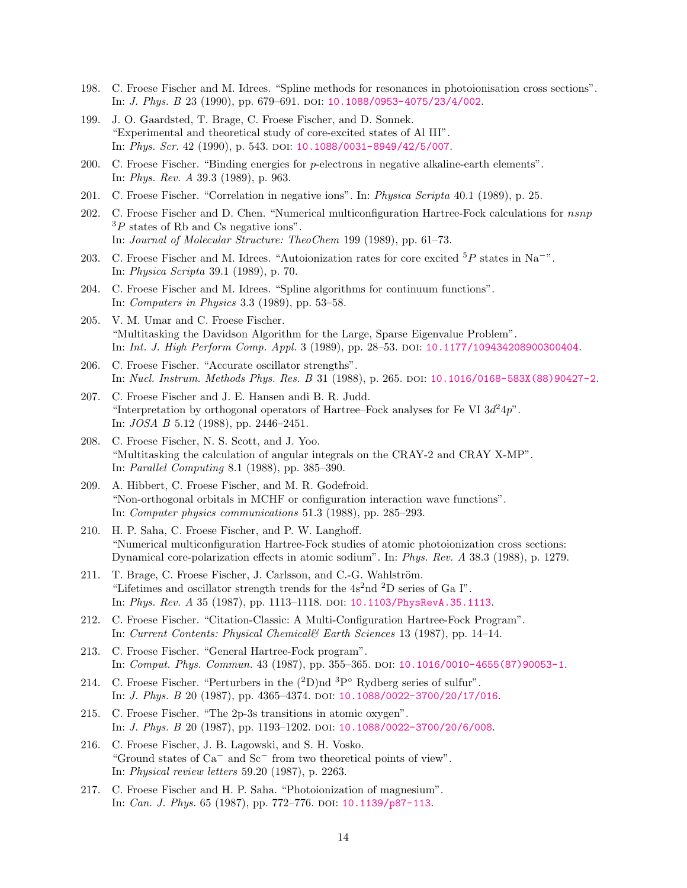- 198. C. Froese Fischer and M. Idrees. "Spline methods for resonances in photoionisation cross sections". In: *J. Phys. B* 23 (1990), pp. 679-691. DOI: [10.1088/0953-4075/23/4/002](http://dx.doi.org/10.1088/0953-4075/23/4/002).
- 199. J. O. Gaardsted, T. Brage, C. Froese Fischer, and D. Sonnek. "Experimental and theoretical study of core-excited states of Al III". In: Phys. Scr. 42 (1990), p. 543. DOI: [10.1088/0031-8949/42/5/007](http://dx.doi.org/10.1088/0031-8949/42/5/007).
- 200. C. Froese Fischer. "Binding energies for p-electrons in negative alkaline-earth elements". In: Phys. Rev. A 39.3 (1989), p. 963.
- 201. C. Froese Fischer. "Correlation in negative ions". In: Physica Scripta 40.1 (1989), p. 25.
- 202. C. Froese Fischer and D. Chen. "Numerical multiconfiguration Hartree-Fock calculations for nsnp  ${}^{3}P$  states of Rb and Cs negative ions". In: Journal of Molecular Structure: TheoChem 199 (1989), pp. 61–73.
- 203. C. Froese Fischer and M. Idrees. "Autoionization rates for core excited  $5P$  states in Na<sup>−"</sup>. In: Physica Scripta 39.1 (1989), p. 70.
- 204. C. Froese Fischer and M. Idrees. "Spline algorithms for continuum functions". In: Computers in Physics 3.3 (1989), pp. 53–58.
- 205. V. M. Umar and C. Froese Fischer. "Multitasking the Davidson Algorithm for the Large, Sparse Eigenvalue Problem". In: Int. J. High Perform Comp. Appl. 3 (1989), pp. 28–53. doi: [10.1177/109434208900300404](http://dx.doi.org/10.1177/109434208900300404).
- 206. C. Froese Fischer. "Accurate oscillator strengths". In: Nucl. Instrum. Methods Phys. Res. B 31 (1988), p. 265. doi: [10.1016/0168-583X\(88\)90427-2](http://dx.doi.org/10.1016/0168-583X(88)90427-2).
- 207. C. Froese Fischer and J. E. Hansen andi B. R. Judd. "Interpretation by orthogonal operators of Hartree–Fock analyses for Fe VI  $3d^24p$ ". In: JOSA B 5.12 (1988), pp. 2446–2451.
- 208. C. Froese Fischer, N. S. Scott, and J. Yoo. "Multitasking the calculation of angular integrals on the CRAY-2 and CRAY X-MP". In: Parallel Computing 8.1 (1988), pp. 385–390.
- 209. A. Hibbert, C. Froese Fischer, and M. R. Godefroid. "Non-orthogonal orbitals in MCHF or configuration interaction wave functions". In: Computer physics communications 51.3 (1988), pp. 285–293.
- 210. H. P. Saha, C. Froese Fischer, and P. W. Langhoff. "Numerical multiconfiguration Hartree-Fock studies of atomic photoionization cross sections: Dynamical core-polarization effects in atomic sodium". In: Phys. Rev. A 38.3 (1988), p. 1279.
- 211. T. Brage, C. Froese Fischer, J. Carlsson, and C.-G. Wahlström. "Lifetimes and oscillator strength trends for the  $4s<sup>2</sup>$ nd  $8s<sup>2</sup>$  series of Ga I". In: Phys. Rev. A 35 (1987), pp. 1113-1118. DOI: [10.1103/PhysRevA.35.1113](http://dx.doi.org/10.1103/PhysRevA.35.1113).
- 212. C. Froese Fischer. "Citation-Classic: A Multi-Configuration Hartree-Fock Program". In: Current Contents: Physical Chemical& Earth Sciences 13 (1987), pp. 14–14.
- 213. C. Froese Fischer. "General Hartree-Fock program". In: Comput. Phys. Commun. 43 (1987), pp. 355–365. doi: [10.1016/0010-4655\(87\)90053-1](http://dx.doi.org/10.1016/0010-4655(87)90053-1).
- 214. C. Froese Fischer. "Perturbers in the  $(^{2}D)$ nd  $^{3}P^{\circ}$  Rydberg series of sulfur". In: *J. Phys. B* 20 (1987), pp. 4365-4374. DOI: [10.1088/0022-3700/20/17/016](http://dx.doi.org/10.1088/0022-3700/20/17/016).
- 215. C. Froese Fischer. "The 2p-3s transitions in atomic oxygen". In: *J. Phys. B* 20 (1987), pp. 1193-1202. DOI: [10.1088/0022-3700/20/6/008](http://dx.doi.org/10.1088/0022-3700/20/6/008).
- 216. C. Froese Fischer, J. B. Lagowski, and S. H. Vosko. "Ground states of Ca<sup>−</sup> and Sc<sup>−</sup> from two theoretical points of view". In: Physical review letters 59.20 (1987), p. 2263.
- 217. C. Froese Fischer and H. P. Saha. "Photoionization of magnesium". In: *Can. J. Phys.* 65 (1987), pp. 772–776. DOI: [10.1139/p87-113](http://dx.doi.org/10.1139/p87-113).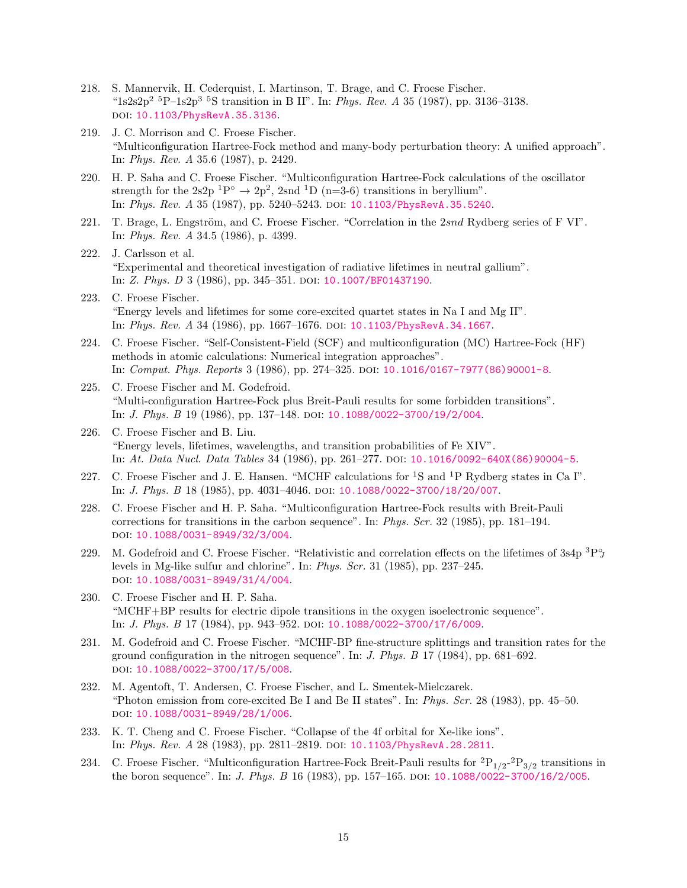- 218. S. Mannervik, H. Cederquist, I. Martinson, T. Brage, and C. Froese Fischer. " $1s2s2p^2$ <sup>5</sup>P-1s2p<sup>3</sup><sup>5</sup>S transition in B II". In: *Phys. Rev. A* 35 (1987), pp. 3136-3138. doi: [10.1103/PhysRevA.35.3136](http://dx.doi.org/10.1103/PhysRevA.35.3136).
- 219. J. C. Morrison and C. Froese Fischer. "Multiconfiguration Hartree-Fock method and many-body perturbation theory: A unified approach". In: Phys. Rev. A 35.6 (1987), p. 2429.
- 220. H. P. Saha and C. Froese Fischer. "Multiconfiguration Hartree-Fock calculations of the oscillator strength for the 2s2p <sup>1</sup>P<sup>°</sup>  $\rightarrow$  2p<sup>2</sup>, 2snd <sup>1</sup>D (n=3-6) transitions in beryllium". In: Phys. Rev. A 35 (1987), pp. 5240-5243. DOI: [10.1103/PhysRevA.35.5240](http://dx.doi.org/10.1103/PhysRevA.35.5240).
- 221. T. Brage, L. Engström, and C. Froese Fischer. "Correlation in the 2snd Rydberg series of F VI". In: Phys. Rev. A 34.5 (1986), p. 4399.
- 222. J. Carlsson et al. "Experimental and theoretical investigation of radiative lifetimes in neutral gallium". In: Z. Phys. D 3 (1986), pp. 345-351. DOI: [10.1007/BF01437190](http://dx.doi.org/10.1007/BF01437190).
- 223. C. Froese Fischer. "Energy levels and lifetimes for some core-excited quartet states in Na I and Mg II". In: Phys. Rev. A 34 (1986), pp. 1667–1676. doi: [10.1103/PhysRevA.34.1667](http://dx.doi.org/10.1103/PhysRevA.34.1667).
- 224. C. Froese Fischer. "Self-Consistent-Field (SCF) and multiconfiguration (MC) Hartree-Fock (HF) methods in atomic calculations: Numerical integration approaches". In: Comput. Phys. Reports 3 (1986), pp. 274–325. doi: [10.1016/0167-7977\(86\)90001-8](http://dx.doi.org/10.1016/0167-7977(86)90001-8).
- 225. C. Froese Fischer and M. Godefroid. "Multi-configuration Hartree-Fock plus Breit-Pauli results for some forbidden transitions". In: *J. Phys. B* 19 (1986), pp. 137–148. DOI: [10.1088/0022-3700/19/2/004](http://dx.doi.org/10.1088/0022-3700/19/2/004).
- 226. C. Froese Fischer and B. Liu. "Energy levels, lifetimes, wavelengths, and transition probabilities of Fe XIV". In: At. Data Nucl. Data Tables 34 (1986), pp. 261–277. doi: [10.1016/0092-640X\(86\)90004-5](http://dx.doi.org/10.1016/0092-640X(86)90004-5).
- 227. C. Froese Fischer and J. E. Hansen. "MCHF calculations for  ${}^{1}S$  and  ${}^{1}P$  Rydberg states in Ca I". In: J. Phys. B 18 (1985), pp. 4031–4046. doi: [10.1088/0022-3700/18/20/007](http://dx.doi.org/10.1088/0022-3700/18/20/007).
- 228. C. Froese Fischer and H. P. Saha. "Multiconfiguration Hartree-Fock results with Breit-Pauli corrections for transitions in the carbon sequence". In: Phys. Scr. 32 (1985), pp. 181–194. doi: [10.1088/0031-8949/32/3/004](http://dx.doi.org/10.1088/0031-8949/32/3/004).
- 229. M. Godefroid and C. Froese Fischer. "Relativistic and correlation effects on the lifetimes of  $3s4p~^3P^{\circ}_{J}$ levels in Mg-like sulfur and chlorine". In: Phys. Scr. 31 (1985), pp. 237–245. doi: [10.1088/0031-8949/31/4/004](http://dx.doi.org/10.1088/0031-8949/31/4/004).
- 230. C. Froese Fischer and H. P. Saha. "MCHF+BP results for electric dipole transitions in the oxygen isoelectronic sequence". In: J. Phys. B 17 (1984), pp. 943–952. doi: [10.1088/0022-3700/17/6/009](http://dx.doi.org/10.1088/0022-3700/17/6/009).
- 231. M. Godefroid and C. Froese Fischer. "MCHF-BP fine-structure splittings and transition rates for the ground configuration in the nitrogen sequence". In: J. Phys. B 17 (1984), pp. 681–692. doi: [10.1088/0022-3700/17/5/008](http://dx.doi.org/10.1088/0022-3700/17/5/008).
- 232. M. Agentoft, T. Andersen, C. Froese Fischer, and L. Smentek-Mielczarek. "Photon emission from core-excited Be I and Be II states". In: Phys. Scr. 28 (1983), pp. 45–50. doi: [10.1088/0031-8949/28/1/006](http://dx.doi.org/10.1088/0031-8949/28/1/006).
- 233. K. T. Cheng and C. Froese Fischer. "Collapse of the 4f orbital for Xe-like ions". In: Phys. Rev. A 28 (1983), pp. 2811-2819. DOI: [10.1103/PhysRevA.28.2811](http://dx.doi.org/10.1103/PhysRevA.28.2811).
- 234. C. Froese Fischer. "Multiconfiguration Hartree-Fock Breit-Pauli results for  ${}^{2}P_{1/2}{}^{2}P_{3/2}$  transitions in the boron sequence". In: *J. Phys. B* 16 (1983), pp. 157-165. DOI: [10.1088/0022-3700/16/2/005](http://dx.doi.org/10.1088/0022-3700/16/2/005).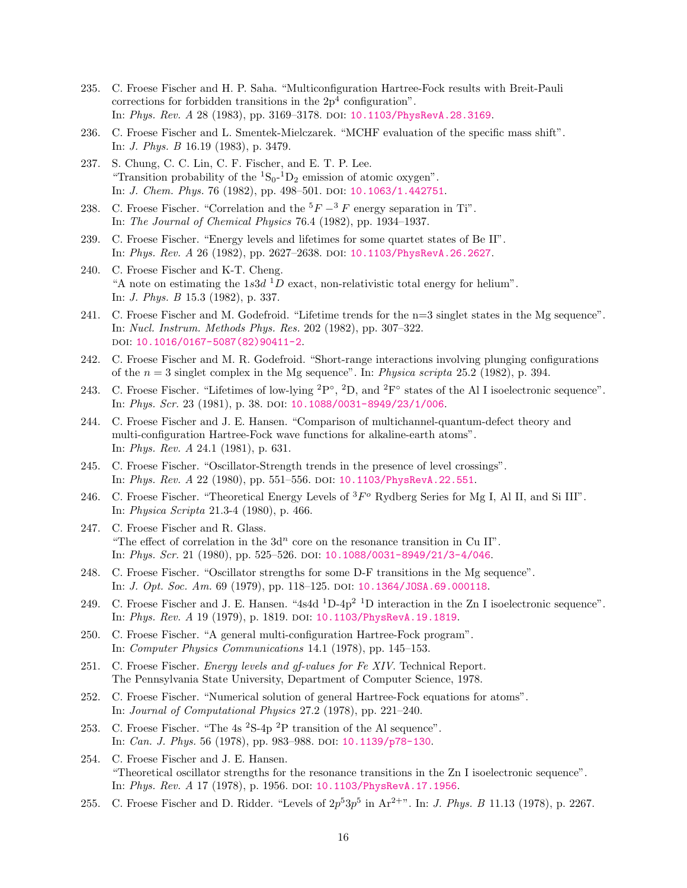- 235. C. Froese Fischer and H. P. Saha. "Multiconfiguration Hartree-Fock results with Breit-Pauli corrections for forbidden transitions in the  $2p<sup>4</sup>$  configuration". In: Phys. Rev. A 28 (1983), pp. 3169-3178. DOI: [10.1103/PhysRevA.28.3169](http://dx.doi.org/10.1103/PhysRevA.28.3169).
- 236. C. Froese Fischer and L. Smentek-Mielczarek. "MCHF evaluation of the specific mass shift". In: J. Phys. B 16.19 (1983), p. 3479.
- 237. S. Chung, C. C. Lin, C. F. Fischer, and E. T. P. Lee. "Transition probability of the  ${}^{1}S_{0}$ - ${}^{1}D_{2}$  emission of atomic oxygen". In: *J. Chem. Phys.* 76 (1982), pp. 498-501. DOI: [10.1063/1.442751](http://dx.doi.org/10.1063/1.442751).
- 238. C. Froese Fischer. "Correlation and the  $5F-3F$  energy separation in Ti". In: The Journal of Chemical Physics 76.4 (1982), pp. 1934–1937.
- 239. C. Froese Fischer. "Energy levels and lifetimes for some quartet states of Be II". In: Phys. Rev. A 26 (1982), pp. 2627-2638. DOI: [10.1103/PhysRevA.26.2627](http://dx.doi.org/10.1103/PhysRevA.26.2627).
- 240. C. Froese Fischer and K-T. Cheng. "A note on estimating the  $1s3d$ <sup>1</sup>D exact, non-relativistic total energy for helium". In: J. Phys. B 15.3 (1982), p. 337.
- 241. C. Froese Fischer and M. Godefroid. "Lifetime trends for the n=3 singlet states in the Mg sequence". In: Nucl. Instrum. Methods Phys. Res. 202 (1982), pp. 307–322. DOI: [10.1016/0167-5087\(82\)90411-2](http://dx.doi.org/10.1016/0167-5087(82)90411-2).
- 242. C. Froese Fischer and M. R. Godefroid. "Short-range interactions involving plunging configurations of the  $n = 3$  singlet complex in the Mg sequence". In: Physica scripta 25.2 (1982), p. 394.
- 243. C. Froese Fischer. "Lifetimes of low-lying  ${}^{2}P^{\circ}$ ,  ${}^{2}D$ , and  ${}^{2}F^{\circ}$  states of the Al I isoelectronic sequence". In: Phys. Scr. 23 (1981), p. 38. DOI: [10.1088/0031-8949/23/1/006](http://dx.doi.org/10.1088/0031-8949/23/1/006).
- 244. C. Froese Fischer and J. E. Hansen. "Comparison of multichannel-quantum-defect theory and multi-configuration Hartree-Fock wave functions for alkaline-earth atoms". In: Phys. Rev. A 24.1 (1981), p. 631.
- 245. C. Froese Fischer. "Oscillator-Strength trends in the presence of level crossings". In: Phys. Rev. A 22 (1980), pp. 551-556. DOI: [10.1103/PhysRevA.22.551](http://dx.doi.org/10.1103/PhysRevA.22.551).
- 246. C. Froese Fischer. "Theoretical Energy Levels of  ${}^{3}F^{o}$  Rydberg Series for Mg I, Al II, and Si III". In: Physica Scripta 21.3-4 (1980), p. 466.
- 247. C. Froese Fischer and R. Glass. "The effect of correlation in the  $3d^n$  core on the resonance transition in Cu II". In: Phys. Scr. 21 (1980), pp. 525–526. doi: [10.1088/0031-8949/21/3-4/046](http://dx.doi.org/10.1088/0031-8949/21/3-4/046).
- 248. C. Froese Fischer. "Oscillator strengths for some D-F transitions in the Mg sequence". In: J. Opt. Soc. Am. 69 (1979), pp. 118–125. doi: [10.1364/JOSA.69.000118](http://dx.doi.org/10.1364/JOSA.69.000118).
- 249. C. Froese Fischer and J. E. Hansen. "4s4d <sup>1</sup>D-4p<sup>2</sup> <sup>1</sup>D interaction in the Zn I isoelectronic sequence". In: Phys. Rev. A 19 (1979), p. 1819. DOI: [10.1103/PhysRevA.19.1819](http://dx.doi.org/10.1103/PhysRevA.19.1819).
- 250. C. Froese Fischer. "A general multi-configuration Hartree-Fock program". In: Computer Physics Communications 14.1 (1978), pp. 145–153.
- 251. C. Froese Fischer. Energy levels and gf-values for Fe XIV. Technical Report. The Pennsylvania State University, Department of Computer Science, 1978.
- 252. C. Froese Fischer. "Numerical solution of general Hartree-Fock equations for atoms". In: Journal of Computational Physics 27.2 (1978), pp. 221–240.
- 253. C. Froese Fischer. "The 4s <sup>2</sup>S-4p <sup>2</sup>P transition of the Al sequence". In: *Can. J. Phys.* 56 (1978), pp. 983-988. DOI: [10.1139/p78-130](http://dx.doi.org/10.1139/p78-130).
- 254. C. Froese Fischer and J. E. Hansen. "Theoretical oscillator strengths for the resonance transitions in the Zn I isoelectronic sequence". In: Phys. Rev. A 17 (1978), p. 1956. DOI: [10.1103/PhysRevA.17.1956](http://dx.doi.org/10.1103/PhysRevA.17.1956).
- 255. C. Froese Fischer and D. Ridder. "Levels of  $2p^53p^5$  in  $Ar^{2+v}$ . In: *J. Phys. B* 11.13 (1978), p. 2267.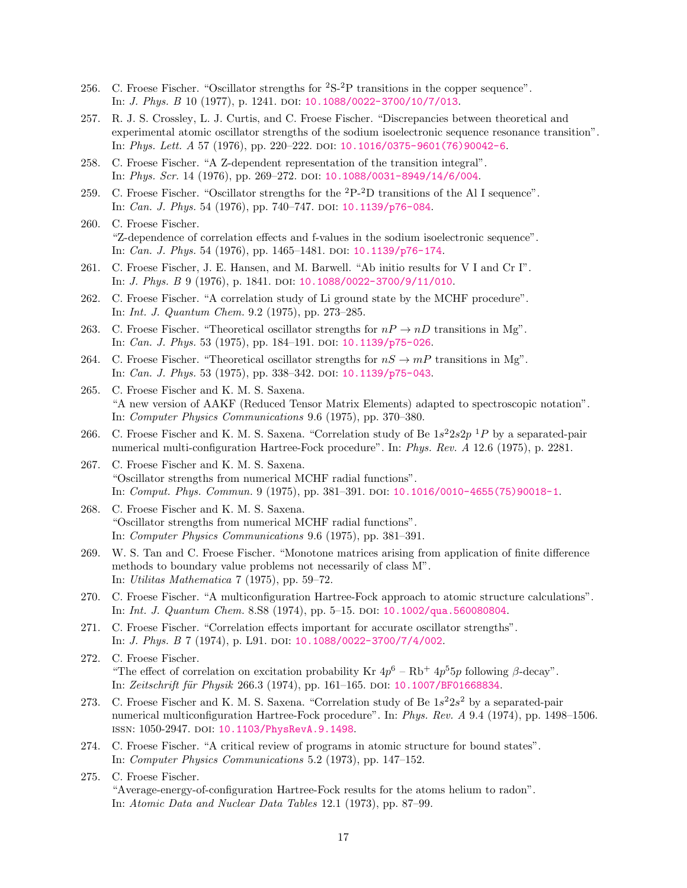- 256. C. Froese Fischer. "Oscillator strengths for <sup>2</sup>S-2P transitions in the copper sequence". In: *J. Phys. B* 10 (1977), p. 1241. DOI: [10.1088/0022-3700/10/7/013](http://dx.doi.org/10.1088/0022-3700/10/7/013).
- 257. R. J. S. Crossley, L. J. Curtis, and C. Froese Fischer. "Discrepancies between theoretical and experimental atomic oscillator strengths of the sodium isoelectronic sequence resonance transition". In: *Phys. Lett. A* 57 (1976), pp. 220–222. doi:  $10.1016/0375-9601(76)90042-6$ .
- 258. C. Froese Fischer. "A Z-dependent representation of the transition integral". In: Phys. Scr. 14 (1976), pp. 269–272. doi: [10.1088/0031-8949/14/6/004](http://dx.doi.org/10.1088/0031-8949/14/6/004).
- 259. C. Froese Fischer. "Oscillator strengths for the  $2P^{-2}D$  transitions of the Al I sequence". In: *Can. J. Phys.* 54 (1976), pp. 740–747. DOI: [10.1139/p76-084](http://dx.doi.org/10.1139/p76-084).
- 260. C. Froese Fischer. "Z-dependence of correlation effects and f-values in the sodium isoelectronic sequence". In: *Can. J. Phys.* 54 (1976), pp. 1465–1481. DOI: [10.1139/p76-174](http://dx.doi.org/10.1139/p76-174).
- 261. C. Froese Fischer, J. E. Hansen, and M. Barwell. "Ab initio results for V I and Cr I". In: *J. Phys. B* 9 (1976), p. 1841. DOI: [10.1088/0022-3700/9/11/010](http://dx.doi.org/10.1088/0022-3700/9/11/010).
- 262. C. Froese Fischer. "A correlation study of Li ground state by the MCHF procedure". In: Int. J. Quantum Chem. 9.2 (1975), pp. 273–285.
- 263. C. Froese Fischer. "Theoretical oscillator strengths for  $nP \to nD$  transitions in Mg". In: *Can. J. Phys.* 53 (1975), pp. 184–191. doi:  $10.1139/p75-026$ .
- 264. C. Froese Fischer. "Theoretical oscillator strengths for  $nS \to mP$  transitions in Mg". In: *Can. J. Phys.* 53 (1975), pp. 338-342. DOI: [10.1139/p75-043](http://dx.doi.org/10.1139/p75-043).
- 265. C. Froese Fischer and K. M. S. Saxena. "A new version of AAKF (Reduced Tensor Matrix Elements) adapted to spectroscopic notation". In: Computer Physics Communications 9.6 (1975), pp. 370–380.
- 266. C. Froese Fischer and K. M. S. Saxena. "Correlation study of Be  $1s^2 2s^2 p$  <sup>1</sup>P by a separated-pair numerical multi-configuration Hartree-Fock procedure". In: Phys. Rev. A 12.6 (1975), p. 2281.
- 267. C. Froese Fischer and K. M. S. Saxena. "Oscillator strengths from numerical MCHF radial functions". In: Comput. Phys. Commun. 9 (1975), pp. 381-391. DOI: [10.1016/0010-4655\(75\)90018-1](http://dx.doi.org/10.1016/0010-4655(75)90018-1).
- 268. C. Froese Fischer and K. M. S. Saxena. "Oscillator strengths from numerical MCHF radial functions". In: Computer Physics Communications 9.6 (1975), pp. 381–391.
- 269. W. S. Tan and C. Froese Fischer. "Monotone matrices arising from application of finite difference methods to boundary value problems not necessarily of class M". In: Utilitas Mathematica 7 (1975), pp. 59–72.
- 270. C. Froese Fischer. "A multiconfiguration Hartree-Fock approach to atomic structure calculations". In: Int. J. Quantum Chem. 8.S8 (1974), pp. 5–15. doi: [10.1002/qua.560080804](http://dx.doi.org/10.1002/qua.560080804).
- 271. C. Froese Fischer. "Correlation effects important for accurate oscillator strengths". In: *J. Phys. B* 7 (1974), p. L91. DOI: [10.1088/0022-3700/7/4/002](http://dx.doi.org/10.1088/0022-3700/7/4/002).
- 272. C. Froese Fischer. "The effect of correlation on excitation probability Kr  $4p^6 - Rb^+ 4p^5 5p$  following  $\beta$ -decay". In: Zeitschrift für Physik 266.3 (1974), pp. 161-165. DOI: [10.1007/BF01668834](http://dx.doi.org/10.1007/BF01668834).
- 273. C. Froese Fischer and K. M. S. Saxena. "Correlation study of Be  $1s^22s^2$  by a separated-pair numerical multiconfiguration Hartree-Fock procedure". In: Phys. Rev. A 9.4 (1974), pp. 1498–1506. issn: 1050-2947. doi: [10.1103/PhysRevA.9.1498](http://dx.doi.org/10.1103/PhysRevA.9.1498).
- 274. C. Froese Fischer. "A critical review of programs in atomic structure for bound states". In: Computer Physics Communications 5.2 (1973), pp. 147–152.
- 275. C. Froese Fischer. "Average-energy-of-configuration Hartree-Fock results for the atoms helium to radon". In: Atomic Data and Nuclear Data Tables 12.1 (1973), pp. 87–99.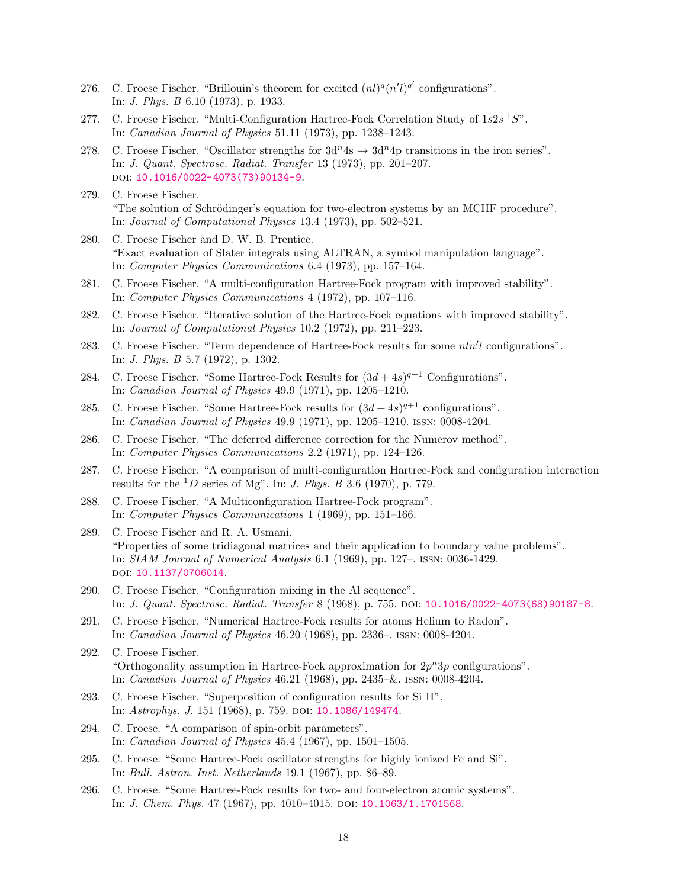- 276. C. Froese Fischer. "Brillouin's theorem for excited  $(nl)^q (n'l)^{q'}$  configurations". In: J. Phys. B 6.10 (1973), p. 1933.
- 277. C. Froese Fischer. "Multi-Configuration Hartree-Fock Correlation Study of  $1s2s$ <sup>1</sup>S". In: Canadian Journal of Physics 51.11 (1973), pp. 1238–1243.
- 278. C. Froese Fischer. "Oscillator strengths for  $3d^n 4s \rightarrow 3d^n 4p$  transitions in the iron series". In: J. Quant. Spectrosc. Radiat. Transfer 13 (1973), pp. 201–207. DOI: [10.1016/0022-4073\(73\)90134-9](http://dx.doi.org/10.1016/0022-4073(73)90134-9).
- 279. C. Froese Fischer. "The solution of Schrödinger's equation for two-electron systems by an MCHF procedure". In: Journal of Computational Physics 13.4 (1973), pp. 502–521.
- 280. C. Froese Fischer and D. W. B. Prentice. "Exact evaluation of Slater integrals using ALTRAN, a symbol manipulation language". In: Computer Physics Communications 6.4 (1973), pp. 157–164.
- 281. C. Froese Fischer. "A multi-configuration Hartree-Fock program with improved stability". In: Computer Physics Communications 4 (1972), pp. 107–116.
- 282. C. Froese Fischer. "Iterative solution of the Hartree-Fock equations with improved stability". In: Journal of Computational Physics 10.2 (1972), pp. 211–223.
- 283. C. Froese Fischer. "Term dependence of Hartree-Fock results for some  $nln'l$  configurations". In: J. Phys. B 5.7 (1972), p. 1302.
- 284. C. Froese Fischer. "Some Hartree-Fock Results for  $(3d + 4s)^{q+1}$  Configurations". In: Canadian Journal of Physics 49.9 (1971), pp. 1205–1210.
- 285. C. Froese Fischer. "Some Hartree-Fock results for  $(3d + 4s)^{q+1}$  configurations". In: Canadian Journal of Physics 49.9 (1971), pp. 1205–1210. issn: 0008-4204.
- 286. C. Froese Fischer. "The deferred difference correction for the Numerov method". In: Computer Physics Communications 2.2 (1971), pp. 124–126.
- 287. C. Froese Fischer. "A comparison of multi-configuration Hartree-Fock and configuration interaction results for the <sup>1</sup>D series of Mg". In: *J. Phys. B* 3.6 (1970), p. 779.
- 288. C. Froese Fischer. "A Multiconfiguration Hartree-Fock program". In: Computer Physics Communications 1 (1969), pp. 151–166.
- 289. C. Froese Fischer and R. A. Usmani. "Properties of some tridiagonal matrices and their application to boundary value problems". In: SIAM Journal of Numerical Analysis 6.1 (1969), pp. 127–. issn: 0036-1429. doi: [10.1137/0706014](http://dx.doi.org/10.1137/0706014).
- 290. C. Froese Fischer. "Configuration mixing in the Al sequence". In: J. Quant. Spectrosc. Radiat. Transfer 8 (1968), p. 755. doi: [10.1016/0022-4073\(68\)90187-8](http://dx.doi.org/10.1016/0022-4073(68)90187-8).
- 291. C. Froese Fischer. "Numerical Hartree-Fock results for atoms Helium to Radon". In: Canadian Journal of Physics 46.20 (1968), pp. 2336–. issn: 0008-4204.
- 292. C. Froese Fischer. "Orthogonality assumption in Hartree-Fock approximation for  $2p^n3p$  configurations". In: Canadian Journal of Physics 46.21 (1968), pp. 2435–&. issn: 0008-4204.
- 293. C. Froese Fischer. "Superposition of configuration results for Si II". In: Astrophys. J. 151 (1968), p. 759. DOI: [10.1086/149474](http://dx.doi.org/10.1086/149474).
- 294. C. Froese. "A comparison of spin-orbit parameters". In: Canadian Journal of Physics 45.4 (1967), pp. 1501–1505.
- 295. C. Froese. "Some Hartree-Fock oscillator strengths for highly ionized Fe and Si". In: Bull. Astron. Inst. Netherlands 19.1 (1967), pp. 86–89.
- 296. C. Froese. "Some Hartree-Fock results for two- and four-electron atomic systems". In: *J. Chem. Phys.* 47 (1967), pp. 4010-4015. DOI: [10.1063/1.1701568](http://dx.doi.org/10.1063/1.1701568).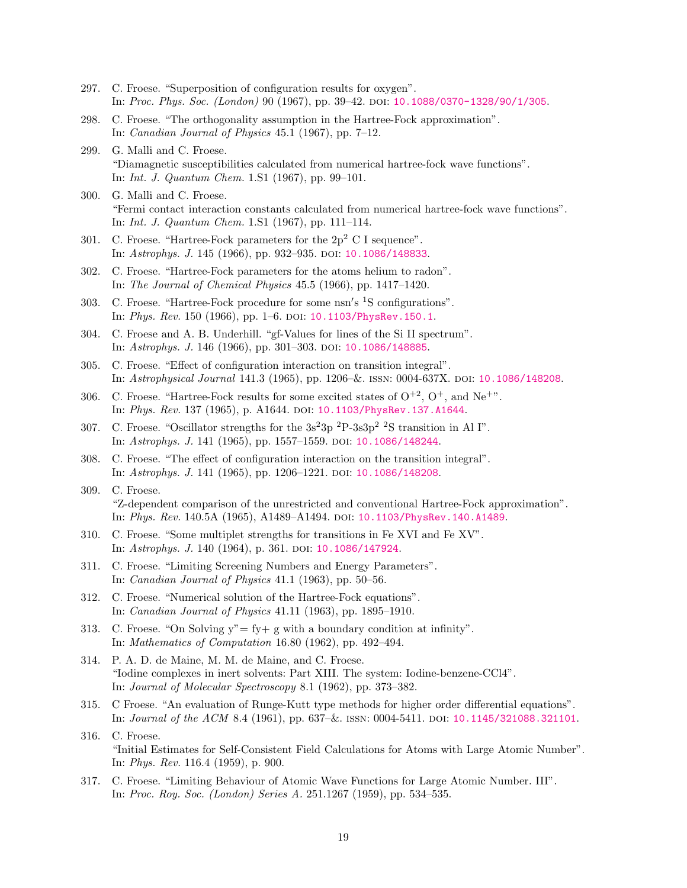- 297. C. Froese. "Superposition of configuration results for oxygen". In: Proc. Phys. Soc. (London) 90 (1967), pp. 39–42. doi: [10.1088/0370-1328/90/1/305](http://dx.doi.org/10.1088/0370-1328/90/1/305).
- 298. C. Froese. "The orthogonality assumption in the Hartree-Fock approximation". In: Canadian Journal of Physics 45.1 (1967), pp. 7–12.
- 299. G. Malli and C. Froese. "Diamagnetic susceptibilities calculated from numerical hartree-fock wave functions". In: Int. J. Quantum Chem. 1.S1 (1967), pp. 99–101.
- 300. G. Malli and C. Froese. "Fermi contact interaction constants calculated from numerical hartree-fock wave functions". In: Int. J. Quantum Chem. 1.S1 (1967), pp. 111–114.
- 301. C. Froese. "Hartree-Fock parameters for the  $2p^2$  C I sequence". In: Astrophys. J. 145 (1966), pp. 932–935. doi: [10.1086/148833](http://dx.doi.org/10.1086/148833).
- 302. C. Froese. "Hartree-Fock parameters for the atoms helium to radon". In: The Journal of Chemical Physics 45.5 (1966), pp. 1417–1420.
- 303. C. Froese. "Hartree-Fock procedure for some  $nsn's$ <sup>1</sup>S configurations". In: *Phys. Rev.* 150 (1966), pp. 1–6. DOI:  $10.1103$ /PhysRev. 150. 1.
- 304. C. Froese and A. B. Underhill. "gf-Values for lines of the Si II spectrum". In: Astrophys. J. 146 (1966), pp. 301-303. DOI: [10.1086/148885](http://dx.doi.org/10.1086/148885).
- 305. C. Froese. "Effect of configuration interaction on transition integral". In: Astrophysical Journal 141.3 (1965), pp. 1206–&. issn: 0004-637X. doi: [10.1086/148208](http://dx.doi.org/10.1086/148208).
- 306. C. Froese. "Hartree-Fock results for some excited states of  $O^{+2}$ ,  $O^+$ , and Ne<sup>+"</sup>. In: Phys. Rev. 137 (1965), p. A1644. DOI: [10.1103/PhysRev.137.A1644](http://dx.doi.org/10.1103/PhysRev.137.A1644).
- 307. C. Froese. "Oscillator strengths for the  $3s^23p^2P-3s3p^2P^2S$  transition in Al I". In: Astrophys. J. 141 (1965), pp. 1557-1559. DOI: [10.1086/148244](http://dx.doi.org/10.1086/148244).
- 308. C. Froese. "The effect of configuration interaction on the transition integral". In: Astrophys. J. 141 (1965), pp. 1206-1221. DOI: [10.1086/148208](http://dx.doi.org/10.1086/148208).
- 309. C. Froese. "Z-dependent comparison of the unrestricted and conventional Hartree-Fock approximation". In: Phys. Rev. 140.5A (1965), A1489–A1494. doi: [10.1103/PhysRev.140.A1489](http://dx.doi.org/10.1103/PhysRev.140.A1489).
- 310. C. Froese. "Some multiplet strengths for transitions in Fe XVI and Fe XV". In: Astrophys. J. 140 (1964), p. 361. DOI: [10.1086/147924](http://dx.doi.org/10.1086/147924).
- 311. C. Froese. "Limiting Screening Numbers and Energy Parameters". In: Canadian Journal of Physics 41.1 (1963), pp. 50–56.
- 312. C. Froese. "Numerical solution of the Hartree-Fock equations". In: Canadian Journal of Physics 41.11 (1963), pp. 1895–1910.
- 313. C. Froese. "On Solving  $y'' = fy + g$  with a boundary condition at infinity". In: Mathematics of Computation 16.80 (1962), pp. 492–494.
- 314. P. A. D. de Maine, M. M. de Maine, and C. Froese. "Iodine complexes in inert solvents: Part XIII. The system: Iodine-benzene-CCl4". In: Journal of Molecular Spectroscopy 8.1 (1962), pp. 373–382.
- 315. C Froese. "An evaluation of Runge-Kutt type methods for higher order differential equations". In: Journal of the ACM 8.4 (1961), pp. 637–&. issn: 0004-5411. doi: [10.1145/321088.321101](http://dx.doi.org/10.1145/321088.321101).
- 316. C. Froese. "Initial Estimates for Self-Consistent Field Calculations for Atoms with Large Atomic Number". In: Phys. Rev. 116.4 (1959), p. 900.
- 317. C. Froese. "Limiting Behaviour of Atomic Wave Functions for Large Atomic Number. III". In: Proc. Roy. Soc. (London) Series A. 251.1267 (1959), pp. 534–535.